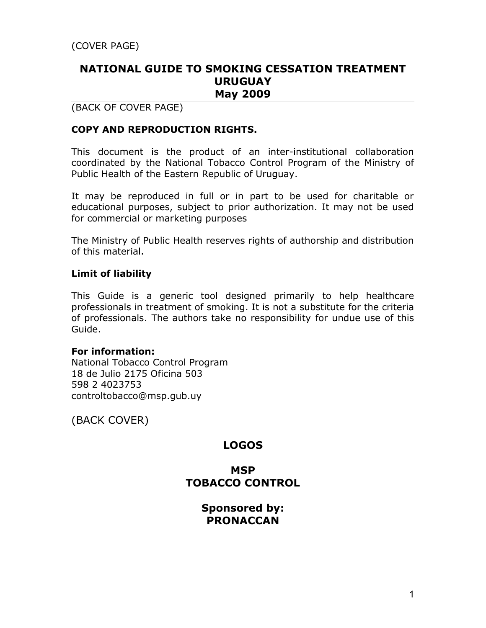## **NATIONAL GUIDE TO SMOKING CESSATION TREATMENT URUGUAY May 2009**

## (BACK OF COVER PAGE)

### **COPY AND REPRODUCTION RIGHTS.**

This document is the product of an inter-institutional collaboration coordinated by the National Tobacco Control Program of the Ministry of Public Health of the Eastern Republic of Uruguay.

It may be reproduced in full or in part to be used for charitable or educational purposes, subject to prior authorization. It may not be used for commercial or marketing purposes

The Ministry of Public Health reserves rights of authorship and distribution of this material.

#### **Limit of liability**

This Guide is a generic tool designed primarily to help healthcare professionals in treatment of smoking. It is not a substitute for the criteria of professionals. The authors take no responsibility for undue use of this Guide.

#### **For information:**

National Tobacco Control Program 18 de Julio 2175 Oficina 503 598 2 4023753 controltobacco@msp.gub.uy

(BACK COVER)

## **LOGOS**

## **MSP TOBACCO CONTROL**

**Sponsored by: PRONACCAN**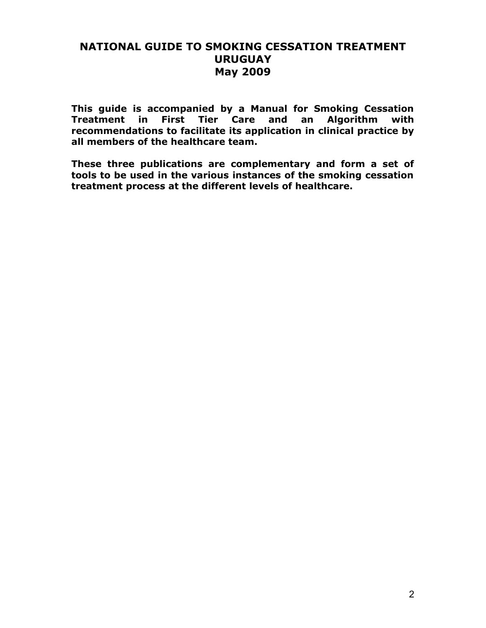## **NATIONAL GUIDE TO SMOKING CESSATION TREATMENT URUGUAY May 2009**

**This guide is accompanied by a Manual for Smoking Cessation Treatment in First Tier Care and an Algorithm with recommendations to facilitate its application in clinical practice by all members of the healthcare team.**

**These three publications are complementary and form a set of tools to be used in the various instances of the smoking cessation treatment process at the different levels of healthcare.**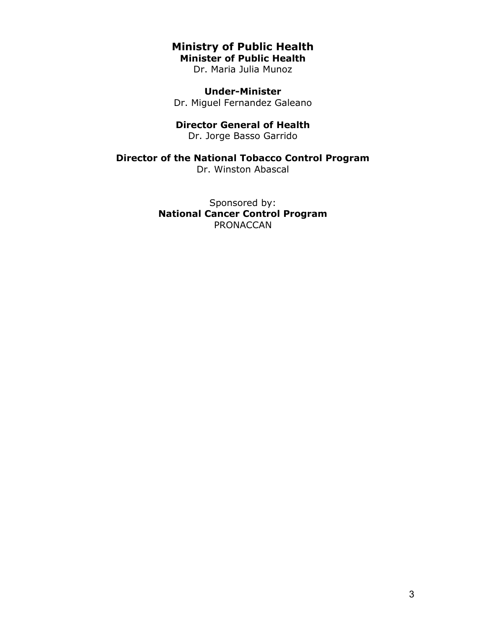### **Ministry of Public Health Minister of Public Health**

Dr. Maria Julia Munoz

**Under-Minister** Dr. Miguel Fernandez Galeano

#### **Director General of Health**

Dr. Jorge Basso Garrido

## **Director of the National Tobacco Control Program**

Dr. Winston Abascal

Sponsored by: **National Cancer Control Program** PRONACCAN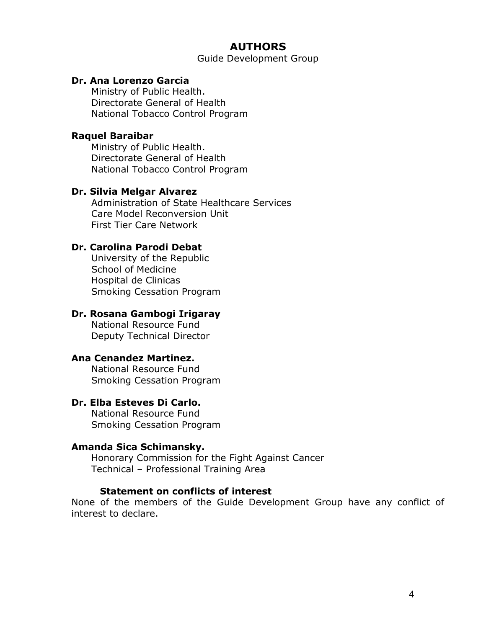## **AUTHORS**

Guide Development Group

#### **Dr. Ana Lorenzo Garcia**

Ministry of Public Health. Directorate General of Health National Tobacco Control Program

#### **Raquel Baraibar**

Ministry of Public Health. Directorate General of Health National Tobacco Control Program

#### **Dr. Silvia Melgar Alvarez**

Administration of State Healthcare Services Care Model Reconversion Unit First Tier Care Network

#### **Dr. Carolina Parodi Debat**

University of the Republic School of Medicine Hospital de Clinicas Smoking Cessation Program

#### **Dr. Rosana Gambogi Irigaray**

National Resource Fund Deputy Technical Director

## **Ana Cenandez Martinez.**

National Resource Fund Smoking Cessation Program

### **Dr. Elba Esteves Di Carlo.**

National Resource Fund Smoking Cessation Program

#### **Amanda Sica Schimansky.**

Honorary Commission for the Fight Against Cancer Technical – Professional Training Area

#### **Statement on conflicts of interest**

None of the members of the Guide Development Group have any conflict of interest to declare.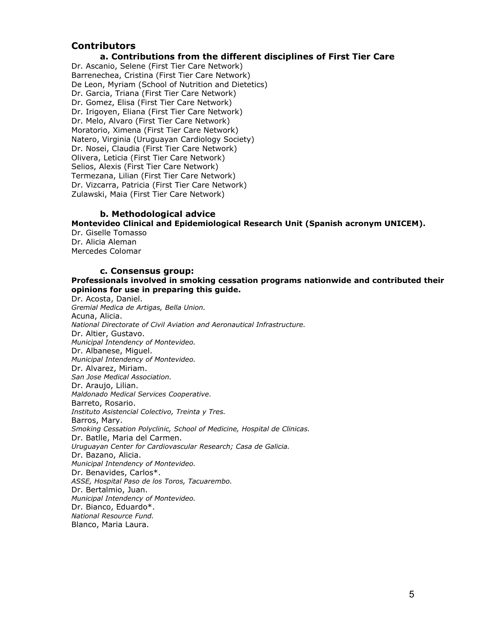#### **Contributors**

#### **a. Contributions from the different disciplines of First Tier Care**

Dr. Ascanio, Selene (First Tier Care Network) Barrenechea, Cristina (First Tier Care Network) De Leon, Myriam (School of Nutrition and Dietetics) Dr. Garcia, Triana (First Tier Care Network) Dr. Gomez, Elisa (First Tier Care Network) Dr. Irigoyen, Eliana (First Tier Care Network) Dr. Melo, Alvaro (First Tier Care Network) Moratorio, Ximena (First Tier Care Network) Natero, Virginia (Uruguayan Cardiology Society) Dr. Nosei, Claudia (First Tier Care Network) Olivera, Leticia (First Tier Care Network) Selios, Alexis (First Tier Care Network) Termezana, Lilian (First Tier Care Network) Dr. Vizcarra, Patricia (First Tier Care Network) Zulawski, Maia (First Tier Care Network)

#### **b. Methodological advice**

**Montevideo Clinical and Epidemiological Research Unit (Spanish acronym UNICEM).**

Dr. Giselle Tomasso Dr. Alicia Aleman Mercedes Colomar

#### **c. Consensus group:**

#### **Professionals involved in smoking cessation programs nationwide and contributed their opinions for use in preparing this guide.**

Dr. Acosta, Daniel. *Gremial Medica de Artigas, Bella Union.* Acuna, Alicia. *National Directorate of Civil Aviation and Aeronautical Infrastructure.* Dr. Altier, Gustavo. *Municipal Intendency of Montevideo.* Dr. Albanese, Miguel. *Municipal Intendency of Montevideo.* Dr. Alvarez, Miriam. *San Jose Medical Association.* Dr. Araujo, Lilian. *Maldonado Medical Services Cooperative.* Barreto, Rosario. *Instituto Asistencial Colectivo, Treinta y Tres.* Barros, Mary. *Smoking Cessation Polyclinic, School of Medicine, Hospital de Clinicas.* Dr. Batlle, Maria del Carmen. *Uruguayan Center for Cardiovascular Research; Casa de Galicia.* Dr. Bazano, Alicia. *Municipal Intendency of Montevideo.* Dr. Benavides, Carlos\*. *ASSE, Hospital Paso de los Toros, Tacuarembo.* Dr. Bertalmio, Juan. *Municipal Intendency of Montevideo.* Dr. Bianco, Eduardo\*. *National Resource Fund.* Blanco, Maria Laura.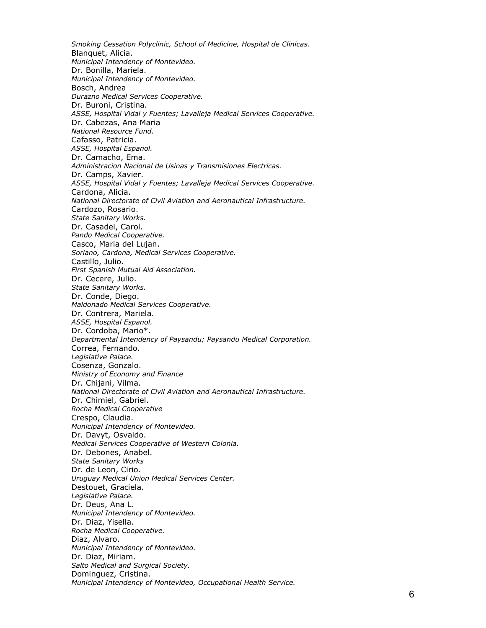*Smoking Cessation Polyclinic, School of Medicine, Hospital de Clinicas.* Blanquet, Alicia. *Municipal Intendency of Montevideo.* Dr. Bonilla, Mariela. *Municipal Intendency of Montevideo.* Bosch, Andrea *Durazno Medical Services Cooperative.* Dr. Buroni, Cristina. *ASSE, Hospital Vidal y Fuentes; Lavalleja Medical Services Cooperative.* Dr. Cabezas, Ana Maria *National Resource Fund.* Cafasso, Patricia. *ASSE, Hospital Espanol.* Dr. Camacho, Ema. *Administracion Nacional de Usinas y Transmisiones Electricas.* Dr. Camps, Xavier. *ASSE, Hospital Vidal y Fuentes; Lavalleja Medical Services Cooperative.* Cardona, Alicia. *National Directorate of Civil Aviation and Aeronautical Infrastructure.* Cardozo, Rosario. *State Sanitary Works.* Dr. Casadei, Carol. *Pando Medical Cooperative.* Casco, Maria del Lujan. *Soriano, Cardona, Medical Services Cooperative.* Castillo, Julio. *First Spanish Mutual Aid Association.* Dr. Cecere, Julio. *State Sanitary Works.* Dr. Conde, Diego. *Maldonado Medical Services Cooperative.* Dr. Contrera, Mariela. *ASSE, Hospital Espanol.* Dr. Cordoba, Mario\*. *Departmental Intendency of Paysandu; Paysandu Medical Corporation.* Correa, Fernando. *Legislative Palace.* Cosenza, Gonzalo. *Ministry of Economy and Finance* Dr. Chijani, Vilma. *National Directorate of Civil Aviation and Aeronautical Infrastructure.* Dr. Chimiel, Gabriel. *Rocha Medical Cooperative* Crespo, Claudia. *Municipal Intendency of Montevideo.* Dr. Davyt, Osvaldo. *Medical Services Cooperative of Western Colonia.* Dr. Debones, Anabel. *State Sanitary Works* Dr. de Leon, Cirio. *Uruguay Medical Union Medical Services Center.* Destouet, Graciela. *Legislative Palace.* Dr. Deus, Ana L. *Municipal Intendency of Montevideo.* Dr. Diaz, Yisella. *Rocha Medical Cooperative.* Diaz, Alvaro. *Municipal Intendency of Montevideo.* Dr. Diaz, Miriam. *Salto Medical and Surgical Society.* Dominguez, Cristina. *Municipal Intendency of Montevideo, Occupational Health Service.*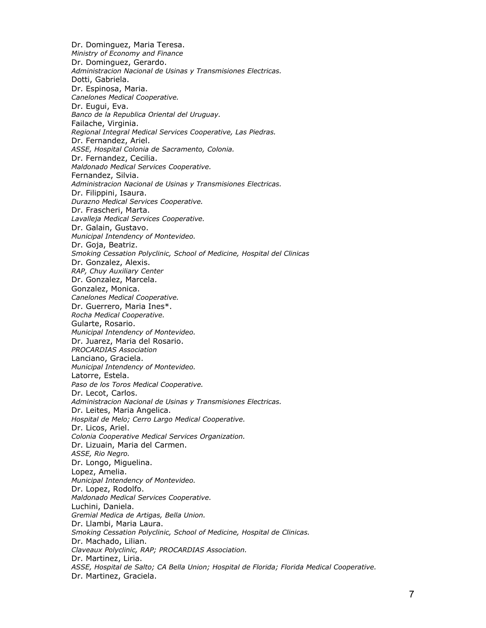Dr. Dominguez, Maria Teresa. *Ministry of Economy and Finance* Dr. Dominguez, Gerardo. *Administracion Nacional de Usinas y Transmisiones Electricas.* Dotti, Gabriela. Dr. Espinosa, Maria. *Canelones Medical Cooperative.* Dr. Eugui, Eva. *Banco de la Republica Oriental del Uruguay.* Failache, Virginia. *Regional Integral Medical Services Cooperative, Las Piedras.* Dr. Fernandez, Ariel. *ASSE, Hospital Colonia de Sacramento, Colonia.* Dr. Fernandez, Cecilia. *Maldonado Medical Services Cooperative.* Fernandez, Silvia. *Administracion Nacional de Usinas y Transmisiones Electricas.* Dr. Filippini, Isaura. *Durazno Medical Services Cooperative.* Dr. Frascheri, Marta. *Lavalleja Medical Services Cooperative.* Dr. Galain, Gustavo. *Municipal Intendency of Montevideo.* Dr. Goja, Beatriz. *Smoking Cessation Polyclinic, School of Medicine, Hospital del Clinicas* Dr. Gonzalez, Alexis. *RAP, Chuy Auxiliary Center* Dr. Gonzalez, Marcela. Gonzalez, Monica. *Canelones Medical Cooperative.* Dr. Guerrero, Maria Ines\*. *Rocha Medical Cooperative.* Gularte, Rosario. *Municipal Intendency of Montevideo.* Dr. Juarez, Maria del Rosario. *PROCARDIAS Association* Lanciano, Graciela. *Municipal Intendency of Montevideo.* Latorre, Estela. *Paso de los Toros Medical Cooperative.* Dr. Lecot, Carlos. *Administracion Nacional de Usinas y Transmisiones Electricas.* Dr. Leites, Maria Angelica. *Hospital de Melo; Cerro Largo Medical Cooperative.* Dr. Licos, Ariel. *Colonia Cooperative Medical Services Organization.* Dr. Lizuain, Maria del Carmen. *ASSE, Rio Negro.* Dr. Longo, Miguelina. Lopez, Amelia. *Municipal Intendency of Montevideo.* Dr. Lopez, Rodolfo. *Maldonado Medical Services Cooperative.* Luchini, Daniela. *Gremial Medica de Artigas, Bella Union.* Dr. Llambi, Maria Laura. *Smoking Cessation Polyclinic, School of Medicine, Hospital de Clinicas.* Dr. Machado, Lilian. *Claveaux Polyclinic, RAP; PROCARDIAS Association.* Dr. Martinez, Liria. *ASSE, Hospital de Salto; CA Bella Union; Hospital de Florida; Florida Medical Cooperative.* Dr. Martinez, Graciela.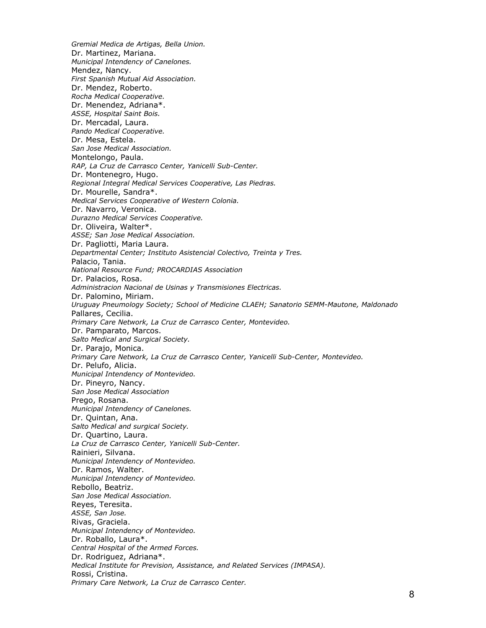*Gremial Medica de Artigas, Bella Union.* Dr. Martinez, Mariana. *Municipal Intendency of Canelones.* Mendez, Nancy. *First Spanish Mutual Aid Association.* Dr. Mendez, Roberto. *Rocha Medical Cooperative.* Dr. Menendez, Adriana\*. *ASSE, Hospital Saint Bois.* Dr. Mercadal, Laura. *Pando Medical Cooperative.* Dr. Mesa, Estela. *San Jose Medical Association.* Montelongo, Paula. *RAP, La Cruz de Carrasco Center, Yanicelli Sub-Center.* Dr. Montenegro, Hugo. *Regional Integral Medical Services Cooperative, Las Piedras.* Dr. Mourelle, Sandra\*. *Medical Services Cooperative of Western Colonia.* Dr. Navarro, Veronica. *Durazno Medical Services Cooperative.* Dr. Oliveira, Walter\*. *ASSE; San Jose Medical Association.* Dr. Pagliotti, Maria Laura. *Departmental Center; Instituto Asistencial Colectivo, Treinta y Tres.* Palacio, Tania. *National Resource Fund; PROCARDIAS Association* Dr. Palacios, Rosa. *Administracion Nacional de Usinas y Transmisiones Electricas.* Dr. Palomino, Miriam. *Uruguay Pneumology Society; School of Medicine CLAEH; Sanatorio SEMM-Mautone, Maldonado* Pallares, Cecilia. *Primary Care Network, La Cruz de Carrasco Center, Montevideo.* Dr. Pamparato, Marcos. *Salto Medical and Surgical Society.* Dr. Parajo, Monica. *Primary Care Network, La Cruz de Carrasco Center, Yanicelli Sub-Center, Montevideo.* Dr. Pelufo, Alicia. *Municipal Intendency of Montevideo.* Dr. Pineyro, Nancy. *San Jose Medical Association* Prego, Rosana. *Municipal Intendency of Canelones.* Dr. Quintan, Ana. *Salto Medical and surgical Society.* Dr. Quartino, Laura. *La Cruz de Carrasco Center, Yanicelli Sub-Center.* Rainieri, Silvana. *Municipal Intendency of Montevideo.* Dr. Ramos, Walter. *Municipal Intendency of Montevideo.* Rebollo, Beatriz. *San Jose Medical Association.* Reyes, Teresita. *ASSE, San Jose.* Rivas, Graciela. *Municipal Intendency of Montevideo.* Dr. Roballo, Laura\*. *Central Hospital of the Armed Forces.* Dr. Rodriguez, Adriana\*. *Medical Institute for Prevision, Assistance, and Related Services (IMPASA).* Rossi, Cristina. *Primary Care Network, La Cruz de Carrasco Center.*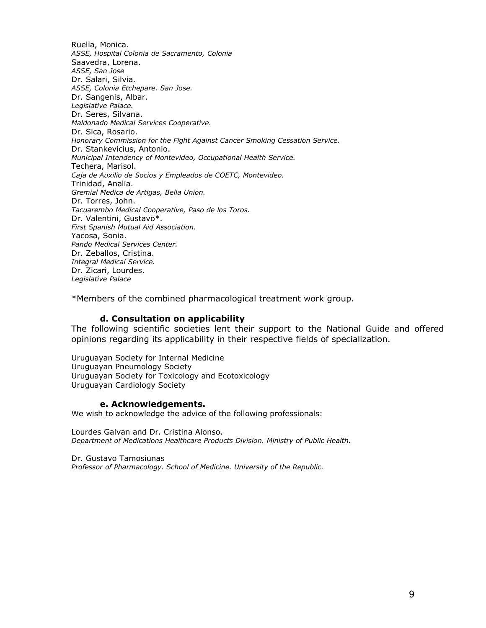Ruella, Monica. *ASSE, Hospital Colonia de Sacramento, Colonia* Saavedra, Lorena. *ASSE, San Jose* Dr. Salari, Silvia. *ASSE, Colonia Etchepare. San Jose.* Dr. Sangenis, Albar. *Legislative Palace.* Dr. Seres, Silvana. *Maldonado Medical Services Cooperative.* Dr. Sica, Rosario. *Honorary Commission for the Fight Against Cancer Smoking Cessation Service.* Dr. Stankevicius, Antonio. *Municipal Intendency of Montevideo, Occupational Health Service.* Techera, Marisol. *Caja de Auxilio de Socios y Empleados de COETC, Montevideo.* Trinidad, Analia. *Gremial Medica de Artigas, Bella Union.* Dr. Torres, John. *Tacuarembo Medical Cooperative, Paso de los Toros.* Dr. Valentini, Gustavo\*. *First Spanish Mutual Aid Association.* Yacosa, Sonia. *Pando Medical Services Center.* Dr. Zeballos, Cristina. *Integral Medical Service.* Dr. Zicari, Lourdes. *Legislative Palace*

\*Members of the combined pharmacological treatment work group.

#### **d. Consultation on applicability**

The following scientific societies lent their support to the National Guide and offered opinions regarding its applicability in their respective fields of specialization.

Uruguayan Society for Internal Medicine Uruguayan Pneumology Society Uruguayan Society for Toxicology and Ecotoxicology Uruguayan Cardiology Society

#### **e. Acknowledgements.**

We wish to acknowledge the advice of the following professionals:

Lourdes Galvan and Dr. Cristina Alonso. *Department of Medications Healthcare Products Division. Ministry of Public Health.*

Dr. Gustavo Tamosiunas *Professor of Pharmacology. School of Medicine. University of the Republic.*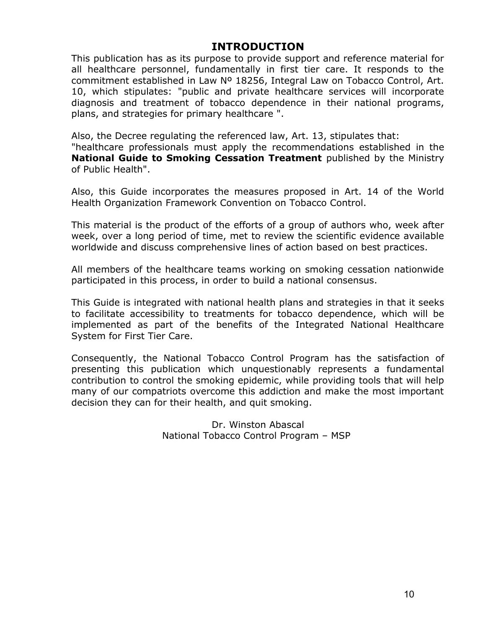## **INTRODUCTION**

This publication has as its purpose to provide support and reference material for all healthcare personnel, fundamentally in first tier care. It responds to the commitment established in Law Nº 18256, Integral Law on Tobacco Control, Art. 10, which stipulates: "public and private healthcare services will incorporate diagnosis and treatment of tobacco dependence in their national programs, plans, and strategies for primary healthcare ".

Also, the Decree regulating the referenced law, Art. 13, stipulates that:

"healthcare professionals must apply the recommendations established in the **National Guide to Smoking Cessation Treatment** published by the Ministry of Public Health".

Also, this Guide incorporates the measures proposed in Art. 14 of the World Health Organization Framework Convention on Tobacco Control.

This material is the product of the efforts of a group of authors who, week after week, over a long period of time, met to review the scientific evidence available worldwide and discuss comprehensive lines of action based on best practices.

All members of the healthcare teams working on smoking cessation nationwide participated in this process, in order to build a national consensus.

This Guide is integrated with national health plans and strategies in that it seeks to facilitate accessibility to treatments for tobacco dependence, which will be implemented as part of the benefits of the Integrated National Healthcare System for First Tier Care.

Consequently, the National Tobacco Control Program has the satisfaction of presenting this publication which unquestionably represents a fundamental contribution to control the smoking epidemic, while providing tools that will help many of our compatriots overcome this addiction and make the most important decision they can for their health, and quit smoking.

> Dr. Winston Abascal National Tobacco Control Program – MSP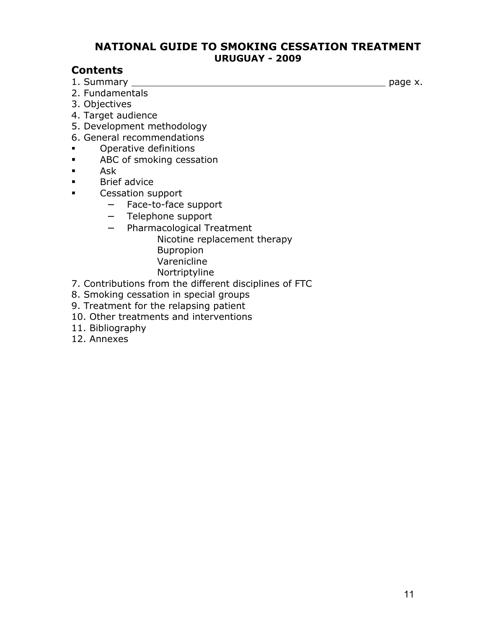## **NATIONAL GUIDE TO SMOKING CESSATION TREATMENT URUGUAY - 2009**

## **Contents**

1. Summary page x.

- 2. Fundamentals
- 3. Objectives
- 4. Target audience
- 5. Development methodology
- 6. General recommendations
- **•** Operative definitions
- **ABC** of smoking cessation
- Ask
- **Brief advice**
- **EXECO** Cessation support
	- − Face-to-face support
	- − Telephone support
	- − Pharmacological Treatment
		- Nicotine replacement therapy
		- Bupropion
		- Varenicline
		- Nortriptyline
- 7. Contributions from the different disciplines of FTC
- 8. Smoking cessation in special groups
- 9. Treatment for the relapsing patient
- 10. Other treatments and interventions
- 11. Bibliography
- 12. Annexes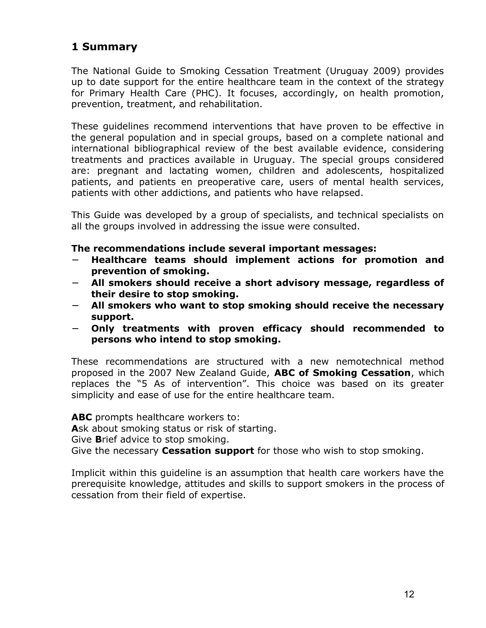# **1 Summary**

The National Guide to Smoking Cessation Treatment (Uruguay 2009) provides up to date support for the entire healthcare team in the context of the strategy for Primary Health Care (PHC). It focuses, accordingly, on health promotion, prevention, treatment, and rehabilitation.

These guidelines recommend interventions that have proven to be effective in the general population and in special groups, based on a complete national and international bibliographical review of the best available evidence, considering treatments and practices available in Uruguay. The special groups considered are: pregnant and lactating women, children and adolescents, hospitalized patients, and patients en preoperative care, users of mental health services, patients with other addictions, and patients who have relapsed.

This Guide was developed by a group of specialists, and technical specialists on all the groups involved in addressing the issue were consulted.

### **The recommendations include several important messages:**

- − **Healthcare teams should implement actions for promotion and prevention of smoking.**
- − **All smokers should receive a short advisory message, regardless of their desire to stop smoking.**
- − **All smokers who want to stop smoking should receive the necessary support.**
- − **Only treatments with proven efficacy should recommended to persons who intend to stop smoking.**

These recommendations are structured with a new nemotechnical method proposed in the 2007 New Zealand Guide, **ABC of Smoking Cessation**, which replaces the "5 As of intervention". This choice was based on its greater simplicity and ease of use for the entire healthcare team.

**ABC** prompts healthcare workers to:

**A**sk about smoking status or risk of starting.

Give **B**rief advice to stop smoking.

Give the necessary **Cessation support** for those who wish to stop smoking.

Implicit within this guideline is an assumption that health care workers have the prerequisite knowledge, attitudes and skills to support smokers in the process of cessation from their field of expertise.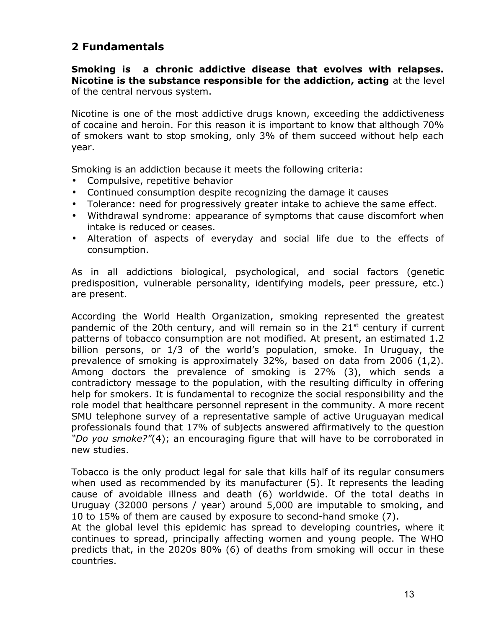# **2 Fundamentals**

**Smoking is a chronic addictive disease that evolves with relapses. Nicotine is the substance responsible for the addiction, acting** at the level of the central nervous system.

Nicotine is one of the most addictive drugs known, exceeding the addictiveness of cocaine and heroin. For this reason it is important to know that although 70% of smokers want to stop smoking, only 3% of them succeed without help each year.

Smoking is an addiction because it meets the following criteria:

- Compulsive, repetitive behavior
- Continued consumption despite recognizing the damage it causes
- Tolerance: need for progressively greater intake to achieve the same effect.
- Withdrawal syndrome: appearance of symptoms that cause discomfort when intake is reduced or ceases.
- Alteration of aspects of everyday and social life due to the effects of consumption.

As in all addictions biological, psychological, and social factors (genetic predisposition, vulnerable personality, identifying models, peer pressure, etc.) are present.

According the World Health Organization, smoking represented the greatest pandemic of the 20th century, and will remain so in the  $21<sup>st</sup>$  century if current patterns of tobacco consumption are not modified. At present, an estimated 1.2 billion persons, or 1/3 of the world's population, smoke. In Uruguay, the prevalence of smoking is approximately 32%, based on data from 2006 (1,2). Among doctors the prevalence of smoking is 27% (3), which sends a contradictory message to the population, with the resulting difficulty in offering help for smokers. It is fundamental to recognize the social responsibility and the role model that healthcare personnel represent in the community. A more recent SMU telephone survey of a representative sample of active Uruguayan medical professionals found that 17% of subjects answered affirmatively to the question *"Do you smoke?"*(4); an encouraging figure that will have to be corroborated in new studies.

Tobacco is the only product legal for sale that kills half of its regular consumers when used as recommended by its manufacturer (5). It represents the leading cause of avoidable illness and death (6) worldwide. Of the total deaths in Uruguay (32000 persons / year) around 5,000 are imputable to smoking, and 10 to 15% of them are caused by exposure to second-hand smoke (7).

At the global level this epidemic has spread to developing countries, where it continues to spread, principally affecting women and young people. The WHO predicts that, in the 2020s 80% (6) of deaths from smoking will occur in these countries.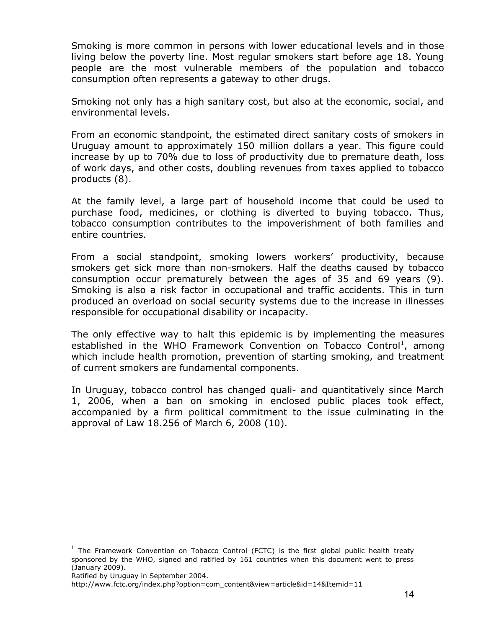Smoking is more common in persons with lower educational levels and in those living below the poverty line. Most regular smokers start before age 18. Young people are the most vulnerable members of the population and tobacco consumption often represents a gateway to other drugs.

Smoking not only has a high sanitary cost, but also at the economic, social, and environmental levels.

From an economic standpoint, the estimated direct sanitary costs of smokers in Uruguay amount to approximately 150 million dollars a year. This figure could increase by up to 70% due to loss of productivity due to premature death, loss of work days, and other costs, doubling revenues from taxes applied to tobacco products (8).

At the family level, a large part of household income that could be used to purchase food, medicines, or clothing is diverted to buying tobacco. Thus, tobacco consumption contributes to the impoverishment of both families and entire countries.

From a social standpoint, smoking lowers workers' productivity, because smokers get sick more than non-smokers. Half the deaths caused by tobacco consumption occur prematurely between the ages of 35 and 69 years (9). Smoking is also a risk factor in occupational and traffic accidents. This in turn produced an overload on social security systems due to the increase in illnesses responsible for occupational disability or incapacity.

The only effective way to halt this epidemic is by implementing the measures established in the WHO Framework Convention on Tobacco Control<sup>[1](#page-13-0)</sup>, among which include health promotion, prevention of starting smoking, and treatment of current smokers are fundamental components.

In Uruguay, tobacco control has changed quali- and quantitatively since March 1, 2006, when a ban on smoking in enclosed public places took effect, accompanied by a firm political commitment to the issue culminating in the approval of Law 18.256 of March 6, 2008 (10).

Ratified by Uruguay in September 2004.

<span id="page-13-0"></span> $<sup>1</sup>$  The Framework Convention on Tobacco Control (FCTC) is the first global public health treaty</sup> sponsored by the WHO, signed and ratified by 161 countries when this document went to press (January 2009).

http://www.fctc.org/index.php?option=com\_content&view=article&id=14&Itemid=11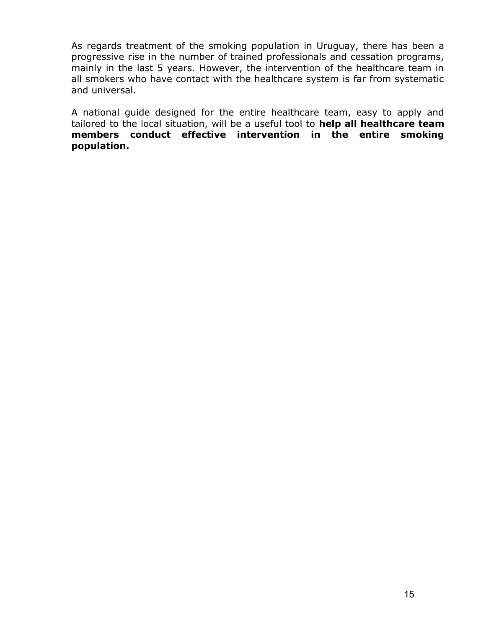As regards treatment of the smoking population in Uruguay, there has been a progressive rise in the number of trained professionals and cessation programs, mainly in the last 5 years. However, the intervention of the healthcare team in all smokers who have contact with the healthcare system is far from systematic and universal.

A national guide designed for the entire healthcare team, easy to apply and tailored to the local situation, will be a useful tool to **help all healthcare team members conduct effective intervention in the entire smoking population.**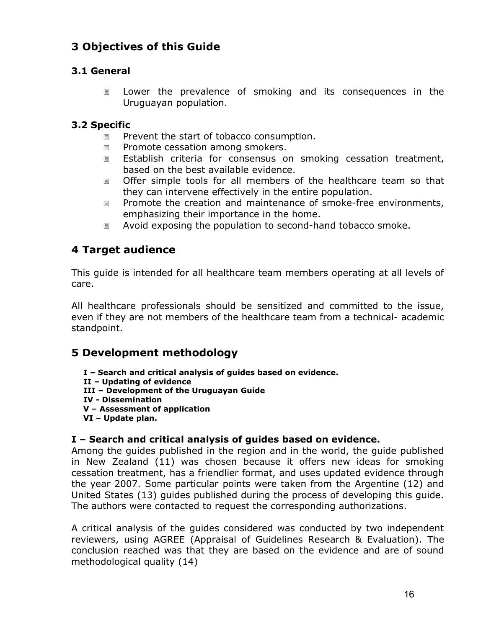# **3 Objectives of this Guide**

## **3.1 General**

 Lower the prevalence of smoking and its consequences in the Uruguayan population.

## **3.2 Specific**

- Prevent the start of tobacco consumption.
- Promote cessation among smokers.
- Establish criteria for consensus on smoking cessation treatment, based on the best available evidence.
- Offer simple tools for all members of the healthcare team so that they can intervene effectively in the entire population.
- Promote the creation and maintenance of smoke-free environments, emphasizing their importance in the home.
- Avoid exposing the population to second-hand tobacco smoke.

# **4 Target audience**

This guide is intended for all healthcare team members operating at all levels of care.

All healthcare professionals should be sensitized and committed to the issue, even if they are not members of the healthcare team from a technical- academic standpoint.

# **5 Development methodology**

- **I Search and critical analysis of guides based on evidence.**
- **II Updating of evidence**
- **III Development of the Uruguayan Guide**
- **IV Dissemination**
- **V Assessment of application**
- **VI Update plan.**

## **I – Search and critical analysis of guides based on evidence.**

Among the guides published in the region and in the world, the guide published in New Zealand (11) was chosen because it offers new ideas for smoking cessation treatment, has a friendlier format, and uses updated evidence through the year 2007. Some particular points were taken from the Argentine (12) and United States (13) guides published during the process of developing this guide. The authors were contacted to request the corresponding authorizations.

A critical analysis of the guides considered was conducted by two independent reviewers, using AGREE (Appraisal of Guidelines Research & Evaluation). The conclusion reached was that they are based on the evidence and are of sound methodological quality (14)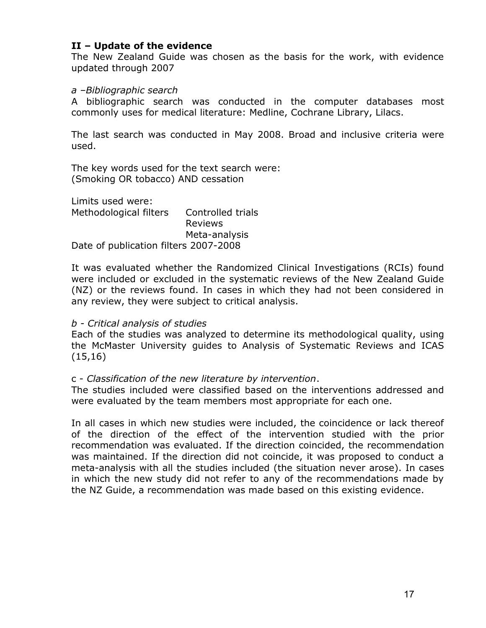#### **II – Update of the evidence**

The New Zealand Guide was chosen as the basis for the work, with evidence updated through 2007

#### *a –Bibliographic search*

A bibliographic search was conducted in the computer databases most commonly uses for medical literature: Medline, Cochrane Library, Lilacs.

The last search was conducted in May 2008. Broad and inclusive criteria were used.

The key words used for the text search were: (Smoking OR tobacco) AND cessation

Limits used were: Methodological filters Controlled trials Reviews Meta-analysis Date of publication filters 2007-2008

It was evaluated whether the Randomized Clinical Investigations (RCIs) found were included or excluded in the systematic reviews of the New Zealand Guide (NZ) or the reviews found. In cases in which they had not been considered in any review, they were subject to critical analysis.

#### *b - Critical analysis of studies*

Each of the studies was analyzed to determine its methodological quality, using the McMaster University guides to Analysis of Systematic Reviews and ICAS (15,16)

#### c - *Classification of the new literature by intervention*.

The studies included were classified based on the interventions addressed and were evaluated by the team members most appropriate for each one.

In all cases in which new studies were included, the coincidence or lack thereof of the direction of the effect of the intervention studied with the prior recommendation was evaluated. If the direction coincided, the recommendation was maintained. If the direction did not coincide, it was proposed to conduct a meta-analysis with all the studies included (the situation never arose). In cases in which the new study did not refer to any of the recommendations made by the NZ Guide, a recommendation was made based on this existing evidence.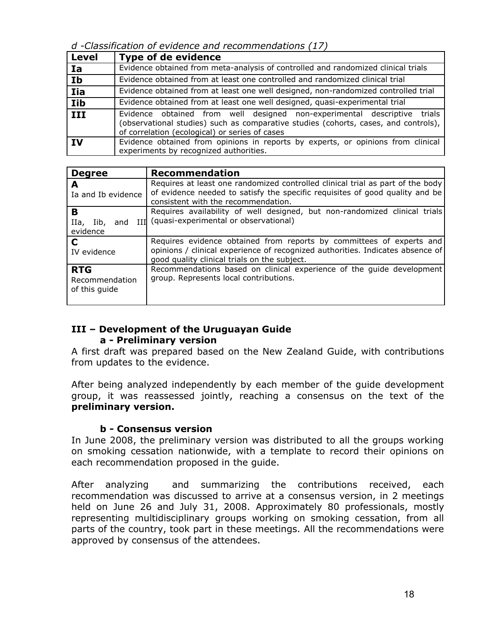*d -Classification of evidence and recommendations (17)*

| <b>Level</b> | <b>Type of de evidence</b>                                                                                                                                                                                           |
|--------------|----------------------------------------------------------------------------------------------------------------------------------------------------------------------------------------------------------------------|
| <b>Ia</b>    | Evidence obtained from meta-analysis of controlled and randomized clinical trials                                                                                                                                    |
| Ib           | Evidence obtained from at least one controlled and randomized clinical trial                                                                                                                                         |
| <b>Iia</b>   | Evidence obtained from at least one well designed, non-randomized controlled trial                                                                                                                                   |
| Iib          | Evidence obtained from at least one well designed, quasi-experimental trial                                                                                                                                          |
| III          | Evidence obtained from well designed non-experimental descriptive<br>trials<br>(observational studies) such as comparative studies (cohorts, cases, and controls),<br>of correlation (ecological) or series of cases |
| <b>IV</b>    | Evidence obtained from opinions in reports by experts, or opinions from clinical<br>experiments by recognized authorities.                                                                                           |

| <b>Degree</b>                                 | <b>Recommendation</b>                                                                                                                                                                                  |
|-----------------------------------------------|--------------------------------------------------------------------------------------------------------------------------------------------------------------------------------------------------------|
| А<br>Ia and Ib evidence                       | Requires at least one randomized controlled clinical trial as part of the body<br>of evidence needed to satisfy the specific requisites of good quality and be<br>consistent with the recommendation.  |
| B<br>IIa,<br>Iib,<br>and<br>evidence          | Requires availability of well designed, but non-randomized clinical trials<br>TIT (quasi-experimental or observational)                                                                                |
| C<br>IV evidence                              | Requires evidence obtained from reports by committees of experts and<br>opinions / clinical experience of recognized authorities. Indicates absence of<br>good quality clinical trials on the subject. |
| <b>RTG</b><br>Recommendation<br>of this guide | Recommendations based on clinical experience of the guide development<br>group. Represents local contributions.                                                                                        |

## **III – Development of the Uruguayan Guide a - Preliminary version**

A first draft was prepared based on the New Zealand Guide, with contributions from updates to the evidence.

After being analyzed independently by each member of the guide development group, it was reassessed jointly, reaching a consensus on the text of the **preliminary version.**

## **b - Consensus version**

In June 2008, the preliminary version was distributed to all the groups working on smoking cessation nationwide, with a template to record their opinions on each recommendation proposed in the guide.

After analyzing and summarizing the contributions received, each recommendation was discussed to arrive at a consensus version, in 2 meetings held on June 26 and July 31, 2008. Approximately 80 professionals, mostly representing multidisciplinary groups working on smoking cessation, from all parts of the country, took part in these meetings. All the recommendations were approved by consensus of the attendees.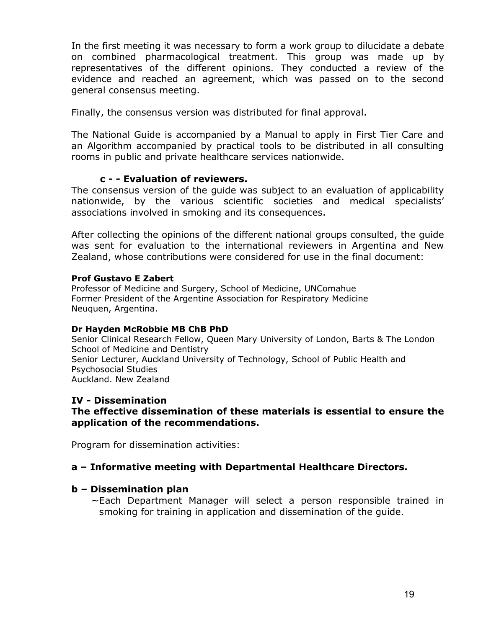In the first meeting it was necessary to form a work group to dilucidate a debate on combined pharmacological treatment. This group was made up by representatives of the different opinions. They conducted a review of the evidence and reached an agreement, which was passed on to the second general consensus meeting.

Finally, the consensus version was distributed for final approval.

The National Guide is accompanied by a Manual to apply in First Tier Care and an Algorithm accompanied by practical tools to be distributed in all consulting rooms in public and private healthcare services nationwide.

#### **c - - Evaluation of reviewers.**

The consensus version of the guide was subject to an evaluation of applicability nationwide, by the various scientific societies and medical specialists' associations involved in smoking and its consequences.

After collecting the opinions of the different national groups consulted, the guide was sent for evaluation to the international reviewers in Argentina and New Zealand, whose contributions were considered for use in the final document:

#### **Prof Gustavo E Zabert**

Professor of Medicine and Surgery, School of Medicine, UNComahue Former President of the Argentine Association for Respiratory Medicine Neuquen, Argentina.

#### **Dr Hayden McRobbie MB ChB PhD**

Senior Clinical Research Fellow, Queen Mary University of London, Barts & The London School of Medicine and Dentistry Senior Lecturer, Auckland University of Technology, School of Public Health and Psychosocial Studies Auckland. New Zealand

#### **IV - Dissemination**

#### **The effective dissemination of these materials is essential to ensure the application of the recommendations.**

Program for dissemination activities:

#### **a – Informative meeting with Departmental Healthcare Directors.**

#### **b – Dissemination plan**

∼ Each Department Manager will select a person responsible trained in smoking for training in application and dissemination of the guide.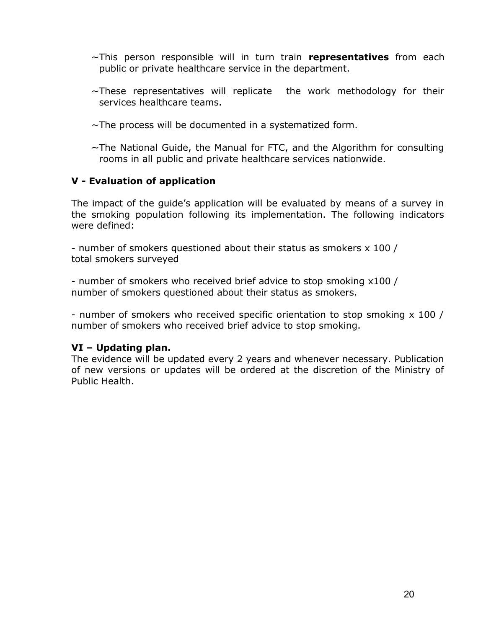- ∼ This person responsible will in turn train **representatives** from each public or private healthcare service in the department.
- ∼ These representatives will replicate the work methodology for their services healthcare teams.
- ∼ The process will be documented in a systematized form.
- ∼ The National Guide, the Manual for FTC, and the Algorithm for consulting rooms in all public and private healthcare services nationwide.

## **V - Evaluation of application**

The impact of the guide's application will be evaluated by means of a survey in the smoking population following its implementation. The following indicators were defined:

- number of smokers questioned about their status as smokers x 100 / total smokers surveyed

- number of smokers who received brief advice to stop smoking x100 / number of smokers questioned about their status as smokers.

- number of smokers who received specific orientation to stop smoking x 100 / number of smokers who received brief advice to stop smoking.

## **VI – Updating plan.**

The evidence will be updated every 2 years and whenever necessary. Publication of new versions or updates will be ordered at the discretion of the Ministry of Public Health.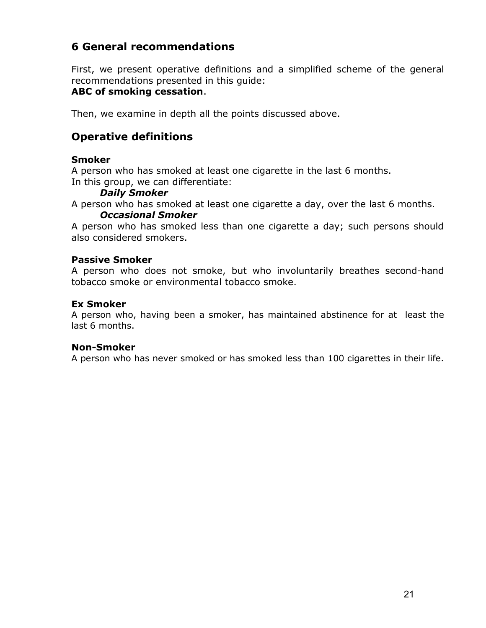# **6 General recommendations**

First, we present operative definitions and a simplified scheme of the general recommendations presented in this guide:

## **ABC of smoking cessation**.

Then, we examine in depth all the points discussed above.

# **Operative definitions**

#### **Smoker**

A person who has smoked at least one cigarette in the last 6 months. In this group, we can differentiate:

#### *Daily Smoker*

A person who has smoked at least one cigarette a day, over the last 6 months.

#### *Occasional Smoker*

A person who has smoked less than one cigarette a day; such persons should also considered smokers.

#### **Passive Smoker**

A person who does not smoke, but who involuntarily breathes second-hand tobacco smoke or environmental tobacco smoke.

#### **Ex Smoker**

A person who, having been a smoker, has maintained abstinence for at least the last 6 months.

#### **Non-Smoker**

A person who has never smoked or has smoked less than 100 cigarettes in their life.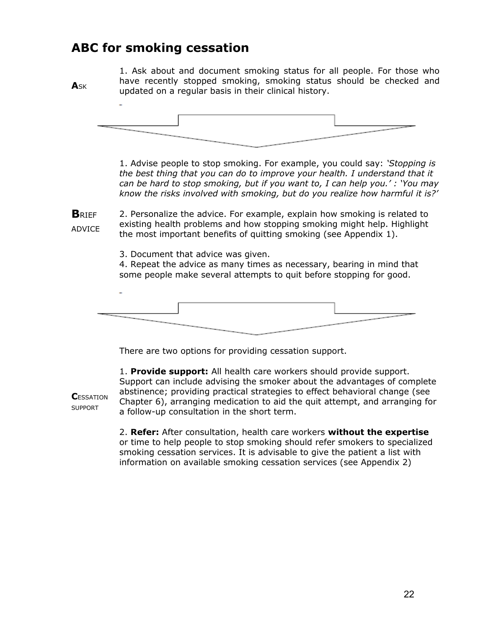# **ABC for smoking cessation**

**A**SK

**C**ESSATION SUPPORT

1. Ask about and document smoking status for all people. For those who have recently stopped smoking, smoking status should be checked and updated on a regular basis in their clinical history.



1. Advise people to stop smoking. For example, you could say: *'Stopping is the best thing that you can do to improve your health. I understand that it can be hard to stop smoking, but if you want to, I can help you.' : 'You may know the risks involved with smoking, but do you realize how harmful it is?'*

**B**RIEF ADVICE 2. Personalize the advice. For example, explain how smoking is related to existing health problems and how stopping smoking might help. Highlight the most important benefits of quitting smoking (see Appendix 1).

3. Document that advice was given.

4. Repeat the advice as many times as necessary, bearing in mind that some people make several attempts to quit before stopping for good.



There are two options for providing cessation support.

1. **Provide support:** All health care workers should provide support. Support can include advising the smoker about the advantages of complete abstinence; providing practical strategies to effect behavioral change (see Chapter 6), arranging medication to aid the quit attempt, and arranging for a follow-up consultation in the short term.

2. **Refer:** After consultation, health care workers **without the expertise** or time to help people to stop smoking should refer smokers to specialized smoking cessation services. It is advisable to give the patient a list with information on available smoking cessation services (see Appendix 2)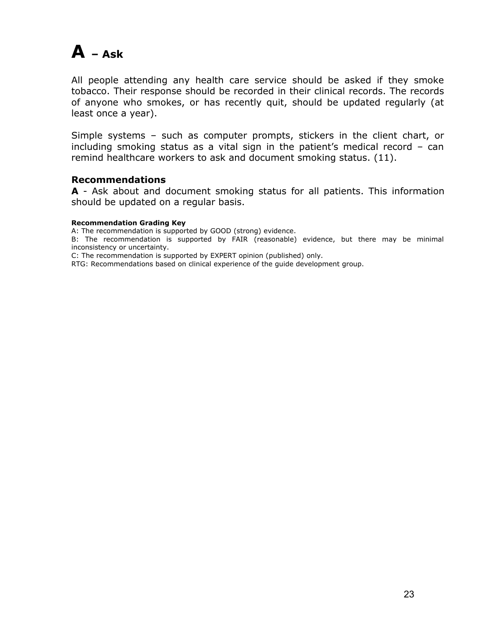# $A - Ask$

All people attending any health care service should be asked if they smoke tobacco. Their response should be recorded in their clinical records. The records of anyone who smokes, or has recently quit, should be updated regularly (at least once a year).

Simple systems – such as computer prompts, stickers in the client chart, or including smoking status as a vital sign in the patient's medical record – can remind healthcare workers to ask and document smoking status. (11).

#### **Recommendations**

**A** - Ask about and document smoking status for all patients. This information should be updated on a regular basis.

#### **Recommendation Grading Key**

A: The recommendation is supported by GOOD (strong) evidence.

B: The recommendation is supported by FAIR (reasonable) evidence, but there may be minimal inconsistency or uncertainty.

C: The recommendation is supported by EXPERT opinion (published) only.

RTG: Recommendations based on clinical experience of the guide development group.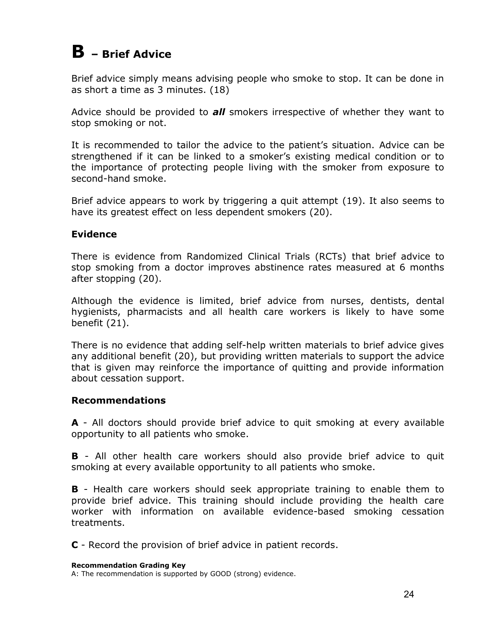# **B – Brief Advice**

Brief advice simply means advising people who smoke to stop. It can be done in as short a time as 3 minutes. (18)

Advice should be provided to *all* smokers irrespective of whether they want to stop smoking or not.

It is recommended to tailor the advice to the patient's situation. Advice can be strengthened if it can be linked to a smoker's existing medical condition or to the importance of protecting people living with the smoker from exposure to second-hand smoke.

Brief advice appears to work by triggering a quit attempt (19). It also seems to have its greatest effect on less dependent smokers (20).

## **Evidence**

There is evidence from Randomized Clinical Trials (RCTs) that brief advice to stop smoking from a doctor improves abstinence rates measured at 6 months after stopping (20).

Although the evidence is limited, brief advice from nurses, dentists, dental hygienists, pharmacists and all health care workers is likely to have some benefit (21).

There is no evidence that adding self-help written materials to brief advice gives any additional benefit (20), but providing written materials to support the advice that is given may reinforce the importance of quitting and provide information about cessation support.

#### **Recommendations**

**A** - All doctors should provide brief advice to quit smoking at every available opportunity to all patients who smoke.

**B** - All other health care workers should also provide brief advice to quit smoking at every available opportunity to all patients who smoke.

**B** - Health care workers should seek appropriate training to enable them to provide brief advice. This training should include providing the health care worker with information on available evidence-based smoking cessation treatments.

**C** - Record the provision of brief advice in patient records.

A: The recommendation is supported by GOOD (strong) evidence.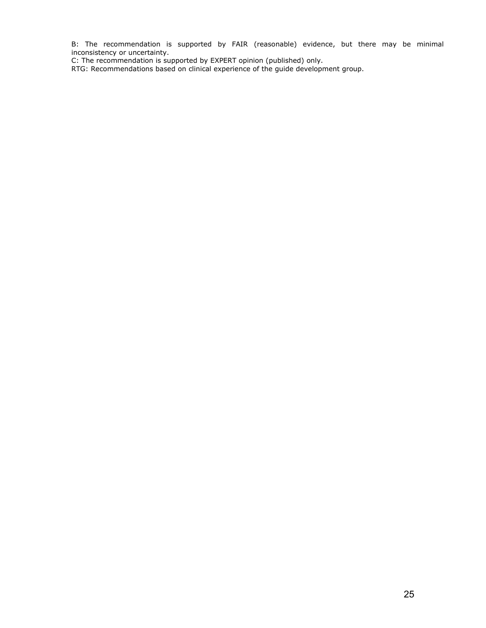B: The recommendation is supported by FAIR (reasonable) evidence, but there may be minimal inconsistency or uncertainty.

C: The recommendation is supported by EXPERT opinion (published) only.

RTG: Recommendations based on clinical experience of the guide development group.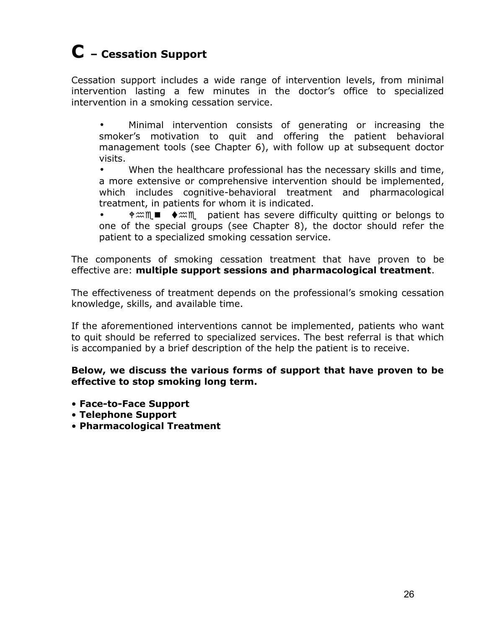# **C – Cessation Support**

Cessation support includes a wide range of intervention levels, from minimal intervention lasting a few minutes in the doctor's office to specialized intervention in a smoking cessation service.

• Minimal intervention consists of generating or increasing the smoker's motivation to quit and offering the patient behavioral management tools (see Chapter 6), with follow up at subsequent doctor visits.

• When the healthcare professional has the necessary skills and time, a more extensive or comprehensive intervention should be implemented, which includes cognitive-behavioral treatment and pharmacological treatment, in patients for whom it is indicated.

 $\#\mathfrak{m}\blacksquare$   $\blacklozenge \mathfrak{m}\blacksquare$  patient has severe difficulty quitting or belongs to one of the special groups (see Chapter 8), the doctor should refer the patient to a specialized smoking cessation service.

The components of smoking cessation treatment that have proven to be effective are: **multiple support sessions and pharmacological treatment**.

The effectiveness of treatment depends on the professional's smoking cessation knowledge, skills, and available time.

If the aforementioned interventions cannot be implemented, patients who want to quit should be referred to specialized services. The best referral is that which is accompanied by a brief description of the help the patient is to receive.

**Below, we discuss the various forms of support that have proven to be effective to stop smoking long term.**

- **Face-to-Face Support**
- **Telephone Support**
- **Pharmacological Treatment**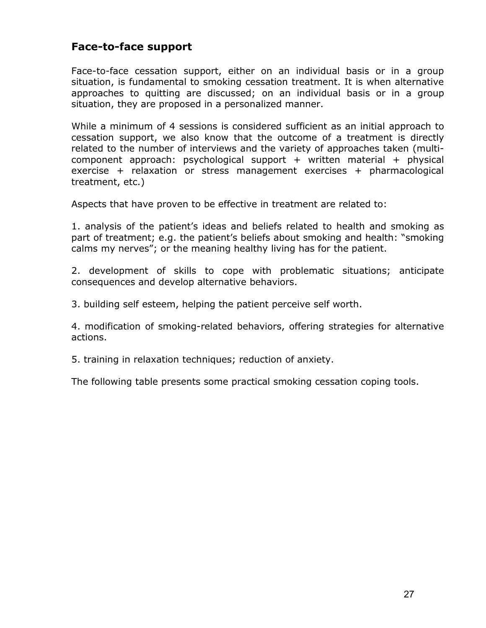## **Face-to-face support**

Face-to-face cessation support, either on an individual basis or in a group situation, is fundamental to smoking cessation treatment. It is when alternative approaches to quitting are discussed; on an individual basis or in a group situation, they are proposed in a personalized manner.

While a minimum of 4 sessions is considered sufficient as an initial approach to cessation support, we also know that the outcome of a treatment is directly related to the number of interviews and the variety of approaches taken (multicomponent approach: psychological support  $+$  written material  $+$  physical exercise + relaxation or stress management exercises + pharmacological treatment, etc.)

Aspects that have proven to be effective in treatment are related to:

1. analysis of the patient's ideas and beliefs related to health and smoking as part of treatment; e.g. the patient's beliefs about smoking and health: "smoking calms my nerves"; or the meaning healthy living has for the patient.

2. development of skills to cope with problematic situations; anticipate consequences and develop alternative behaviors.

3. building self esteem, helping the patient perceive self worth.

4. modification of smoking-related behaviors, offering strategies for alternative actions.

5. training in relaxation techniques; reduction of anxiety.

The following table presents some practical smoking cessation coping tools.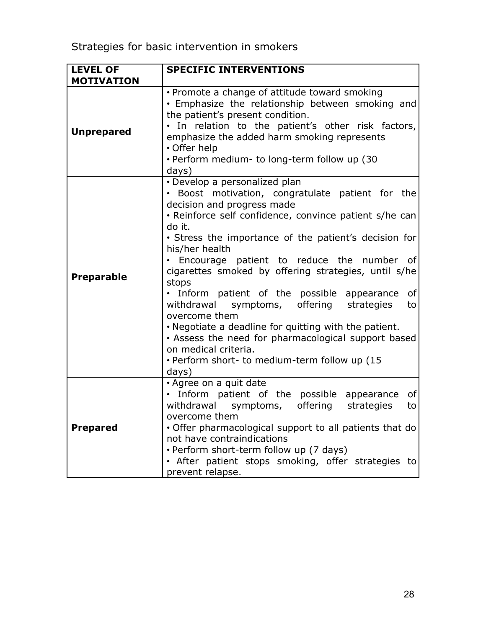| <b>LEVEL OF</b>   | <b>SPECIFIC INTERVENTIONS</b>                                                                                                                                                                                                                                                                                                                                                                                                                                                                                                                                                                                                                                                                          |
|-------------------|--------------------------------------------------------------------------------------------------------------------------------------------------------------------------------------------------------------------------------------------------------------------------------------------------------------------------------------------------------------------------------------------------------------------------------------------------------------------------------------------------------------------------------------------------------------------------------------------------------------------------------------------------------------------------------------------------------|
| <b>MOTIVATION</b> |                                                                                                                                                                                                                                                                                                                                                                                                                                                                                                                                                                                                                                                                                                        |
| <b>Unprepared</b> | • Promote a change of attitude toward smoking<br>· Emphasize the relationship between smoking and<br>the patient's present condition.<br>. In relation to the patient's other risk factors,<br>emphasize the added harm smoking represents<br>• Offer help<br>· Perform medium- to long-term follow up (30<br>days)                                                                                                                                                                                                                                                                                                                                                                                    |
| <b>Preparable</b> | • Develop a personalized plan<br>• Boost motivation, congratulate patient for the<br>decision and progress made<br>. Reinforce self confidence, convince patient s/he can<br>do it.<br>• Stress the importance of the patient's decision for<br>his/her health<br>· Encourage patient to reduce the number of<br>cigarettes smoked by offering strategies, until s/he<br>stops<br>. Inform patient of the possible appearance of<br>withdrawal symptoms, offering strategies<br>to<br>overcome them<br>. Negotiate a deadline for quitting with the patient.<br>• Assess the need for pharmacological support based<br>on medical criteria.<br>. Perform short- to medium-term follow up (15)<br>days) |
| <b>Prepared</b>   | • Agree on a quit date<br>. Inform patient of the possible appearance<br>of<br>withdrawal symptoms,<br>offering strategies<br>to<br>overcome them<br>• Offer pharmacological support to all patients that do<br>not have contraindications<br>• Perform short-term follow up (7 days)<br>• After patient stops smoking, offer strategies to<br>prevent relapse.                                                                                                                                                                                                                                                                                                                                        |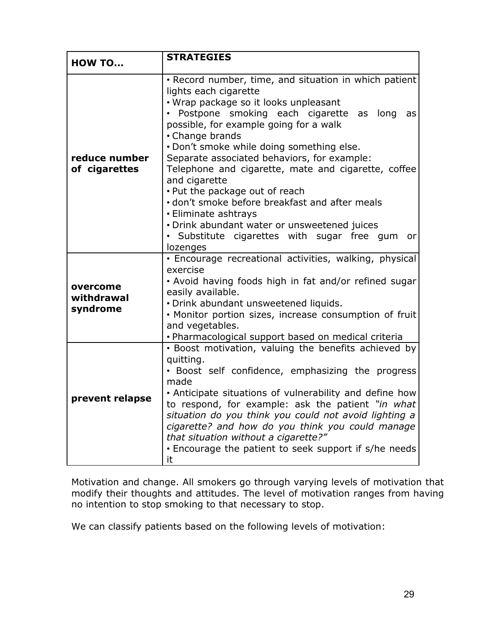| <b>HOW TO</b>                      | <b>STRATEGIES</b>                                                                                                                                                                                                                                                                                                                                                                                                                                                                                                                                                                                                                               |  |  |
|------------------------------------|-------------------------------------------------------------------------------------------------------------------------------------------------------------------------------------------------------------------------------------------------------------------------------------------------------------------------------------------------------------------------------------------------------------------------------------------------------------------------------------------------------------------------------------------------------------------------------------------------------------------------------------------------|--|--|
| reduce number<br>of cigarettes     | · Record number, time, and situation in which patient<br>lights each cigarette<br>• Wrap package so it looks unpleasant<br>· Postpone smoking each cigarette<br>as<br>long<br>as<br>possible, for example going for a walk<br>• Change brands<br>. Don't smoke while doing something else.<br>Separate associated behaviors, for example:<br>Telephone and cigarette, mate and cigarette, coffee<br>and cigarette<br>. Put the package out of reach<br>· don't smoke before breakfast and after meals<br>• Eliminate ashtrays<br>• Drink abundant water or unsweetened juices<br>· Substitute cigarettes with sugar free qum<br>orl<br>lozenges |  |  |
| overcome<br>withdrawal<br>syndrome | · Encourage recreational activities, walking, physical<br>exercise<br>. Avoid having foods high in fat and/or refined sugar<br>easily available.<br>· Drink abundant unsweetened liquids.<br>. Monitor portion sizes, increase consumption of fruit<br>and vegetables.<br>• Pharmacological support based on medical criteria                                                                                                                                                                                                                                                                                                                   |  |  |
| prevent relapse                    | · Boost motivation, valuing the benefits achieved by<br>quitting.<br>· Boost self confidence, emphasizing the progress<br>made<br>• Anticipate situations of vulnerability and define how<br>to respond, for example: ask the patient "in what<br>situation do you think you could not avoid lighting a<br>cigarette? and how do you think you could manage<br>that situation without a cigarette?"<br>. Encourage the patient to seek support if s/he needs<br>it                                                                                                                                                                              |  |  |

Motivation and change. All smokers go through varying levels of motivation that modify their thoughts and attitudes. The level of motivation ranges from having no intention to stop smoking to that necessary to stop.

We can classify patients based on the following levels of motivation: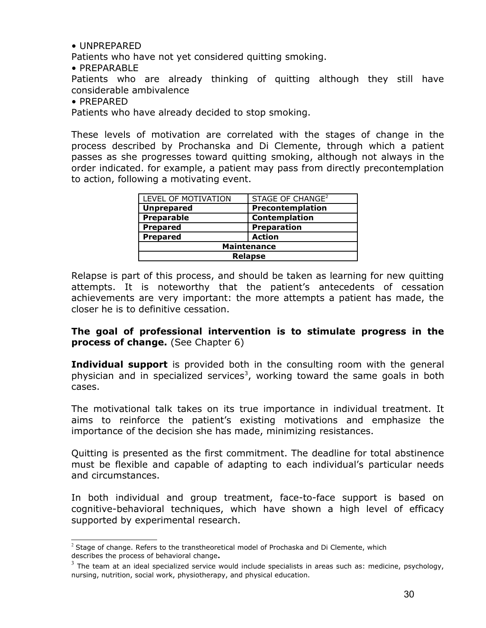• UNPREPARED

Patients who have not yet considered quitting smoking.

• PREPARABLE

Patients who are already thinking of quitting although they still have considerable ambivalence

• PREPARED

Patients who have already decided to stop smoking.

These levels of motivation are correlated with the stages of change in the process described by Prochanska and Di Clemente, through which a patient passes as she progresses toward quitting smoking, although not always in the order indicated. for example, a patient may pass from directly precontemplation to action, following a motivating event.

| LEVEL OF MOTIVATION | STAGE OF CHANGE <sup>2</sup> |  |  |  |
|---------------------|------------------------------|--|--|--|
| <b>Unprepared</b>   | Precontemplation             |  |  |  |
| <b>Preparable</b>   | Contemplation                |  |  |  |
| <b>Prepared</b>     | <b>Preparation</b>           |  |  |  |
| <b>Prepared</b>     | <b>Action</b>                |  |  |  |
| <b>Maintenance</b>  |                              |  |  |  |
| <b>Relapse</b>      |                              |  |  |  |

Relapse is part of this process, and should be taken as learning for new quitting attempts. It is noteworthy that the patient's antecedents of cessation achievements are very important: the more attempts a patient has made, the closer he is to definitive cessation.

**The goal of professional intervention is to stimulate progress in the process of change.** (See Chapter 6)

**Individual support** is provided both in the consulting room with the general physician and in specialized services<sup>[3](#page-29-1)</sup>, working toward the same goals in both cases.

The motivational talk takes on its true importance in individual treatment. It aims to reinforce the patient's existing motivations and emphasize the importance of the decision she has made, minimizing resistances.

Quitting is presented as the first commitment. The deadline for total abstinence must be flexible and capable of adapting to each individual's particular needs and circumstances.

In both individual and group treatment, face-to-face support is based on cognitive-behavioral techniques, which have shown a high level of efficacy supported by experimental research.

<span id="page-29-0"></span> $<sup>2</sup>$  Stage of change. Refers to the transtheoretical model of Prochaska and Di Clemente, which</sup> describes the process of behavioral change**.**

<span id="page-29-1"></span> $^3$  The team at an ideal specialized service would include specialists in areas such as: medicine, psychology, nursing, nutrition, social work, physiotherapy, and physical education.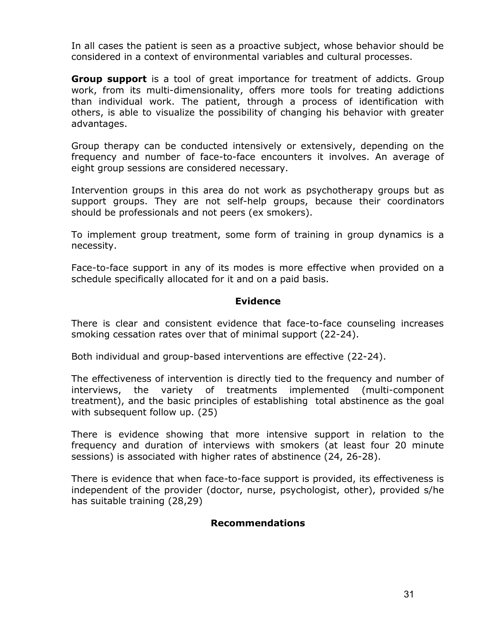In all cases the patient is seen as a proactive subject, whose behavior should be considered in a context of environmental variables and cultural processes.

**Group support** is a tool of great importance for treatment of addicts. Group work, from its multi-dimensionality, offers more tools for treating addictions than individual work. The patient, through a process of identification with others, is able to visualize the possibility of changing his behavior with greater advantages.

Group therapy can be conducted intensively or extensively, depending on the frequency and number of face-to-face encounters it involves. An average of eight group sessions are considered necessary.

Intervention groups in this area do not work as psychotherapy groups but as support groups. They are not self-help groups, because their coordinators should be professionals and not peers (ex smokers).

To implement group treatment, some form of training in group dynamics is a necessity.

Face-to-face support in any of its modes is more effective when provided on a schedule specifically allocated for it and on a paid basis.

#### **Evidence**

There is clear and consistent evidence that face-to-face counseling increases smoking cessation rates over that of minimal support (22-24).

Both individual and group-based interventions are effective (22-24).

The effectiveness of intervention is directly tied to the frequency and number of interviews, the variety of treatments implemented (multi-component treatment), and the basic principles of establishing total abstinence as the goal with subsequent follow up. (25)

There is evidence showing that more intensive support in relation to the frequency and duration of interviews with smokers (at least four 20 minute sessions) is associated with higher rates of abstinence (24, 26-28).

There is evidence that when face-to-face support is provided, its effectiveness is independent of the provider (doctor, nurse, psychologist, other), provided s/he has suitable training (28,29)

#### **Recommendations**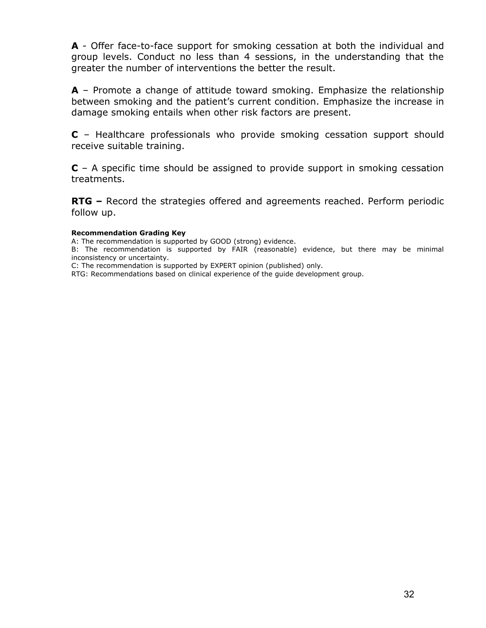**A** - Offer face-to-face support for smoking cessation at both the individual and group levels. Conduct no less than 4 sessions, in the understanding that the greater the number of interventions the better the result.

**A** – Promote a change of attitude toward smoking. Emphasize the relationship between smoking and the patient's current condition. Emphasize the increase in damage smoking entails when other risk factors are present.

**C** – Healthcare professionals who provide smoking cessation support should receive suitable training.

**C** – A specific time should be assigned to provide support in smoking cessation treatments.

**RTG –** Record the strategies offered and agreements reached. Perform periodic follow up.

#### **Recommendation Grading Key**

A: The recommendation is supported by GOOD (strong) evidence.

B: The recommendation is supported by FAIR (reasonable) evidence, but there may be minimal inconsistency or uncertainty.

C: The recommendation is supported by EXPERT opinion (published) only.

RTG: Recommendations based on clinical experience of the guide development group.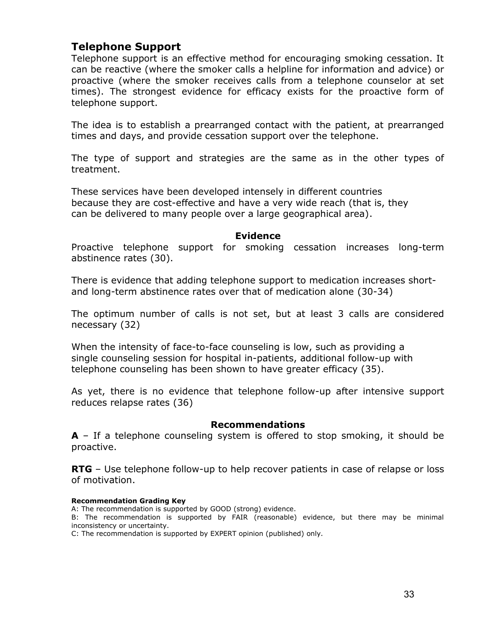## **Telephone Support**

Telephone support is an effective method for encouraging smoking cessation. It can be reactive (where the smoker calls a helpline for information and advice) or proactive (where the smoker receives calls from a telephone counselor at set times). The strongest evidence for efficacy exists for the proactive form of telephone support.

The idea is to establish a prearranged contact with the patient, at prearranged times and days, and provide cessation support over the telephone.

The type of support and strategies are the same as in the other types of treatment.

These services have been developed intensely in different countries because they are cost-effective and have a very wide reach (that is, they can be delivered to many people over a large geographical area).

#### **Evidence**

Proactive telephone support for smoking cessation increases long-term abstinence rates (30).

There is evidence that adding telephone support to medication increases shortand long-term abstinence rates over that of medication alone (30-34)

The optimum number of calls is not set, but at least 3 calls are considered necessary (32)

When the intensity of face-to-face counseling is low, such as providing a single counseling session for hospital in-patients, additional follow-up with telephone counseling has been shown to have greater efficacy (35).

As yet, there is no evidence that telephone follow-up after intensive support reduces relapse rates (36)

#### **Recommendations**

**A** – If a telephone counseling system is offered to stop smoking, it should be proactive.

**RTG** – Use telephone follow-up to help recover patients in case of relapse or loss of motivation.

#### **Recommendation Grading Key**

A: The recommendation is supported by GOOD (strong) evidence.

B: The recommendation is supported by FAIR (reasonable) evidence, but there may be minimal inconsistency or uncertainty.

C: The recommendation is supported by EXPERT opinion (published) only.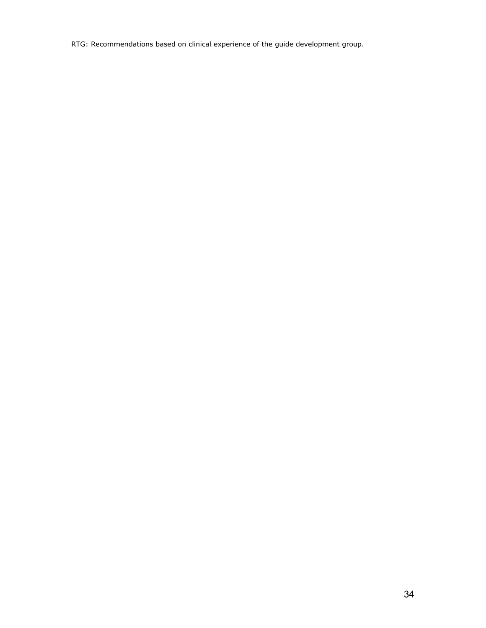RTG: Recommendations based on clinical experience of the guide development group.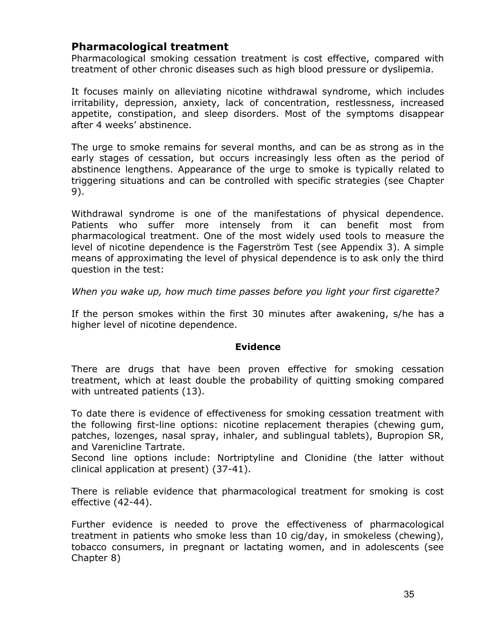## **Pharmacological treatment**

Pharmacological smoking cessation treatment is cost effective, compared with treatment of other chronic diseases such as high blood pressure or dyslipemia.

It focuses mainly on alleviating nicotine withdrawal syndrome, which includes irritability, depression, anxiety, lack of concentration, restlessness, increased appetite, constipation, and sleep disorders. Most of the symptoms disappear after 4 weeks' abstinence.

The urge to smoke remains for several months, and can be as strong as in the early stages of cessation, but occurs increasingly less often as the period of abstinence lengthens. Appearance of the urge to smoke is typically related to triggering situations and can be controlled with specific strategies (see Chapter 9).

Withdrawal syndrome is one of the manifestations of physical dependence. Patients who suffer more intensely from it can benefit most from pharmacological treatment. One of the most widely used tools to measure the level of nicotine dependence is the Fagerström Test (see Appendix 3). A simple means of approximating the level of physical dependence is to ask only the third question in the test:

*When you wake up, how much time passes before you light your first cigarette?*

If the person smokes within the first 30 minutes after awakening, s/he has a higher level of nicotine dependence.

#### **Evidence**

There are drugs that have been proven effective for smoking cessation treatment, which at least double the probability of quitting smoking compared with untreated patients (13).

To date there is evidence of effectiveness for smoking cessation treatment with the following first-line options: nicotine replacement therapies (chewing gum, patches, lozenges, nasal spray, inhaler, and sublingual tablets), Bupropion SR, and Varenicline Tartrate.

Second line options include: Nortriptyline and Clonidine (the latter without clinical application at present) (37-41).

There is reliable evidence that pharmacological treatment for smoking is cost effective (42-44).

Further evidence is needed to prove the effectiveness of pharmacological treatment in patients who smoke less than 10 cig/day, in smokeless (chewing), tobacco consumers, in pregnant or lactating women, and in adolescents (see Chapter 8)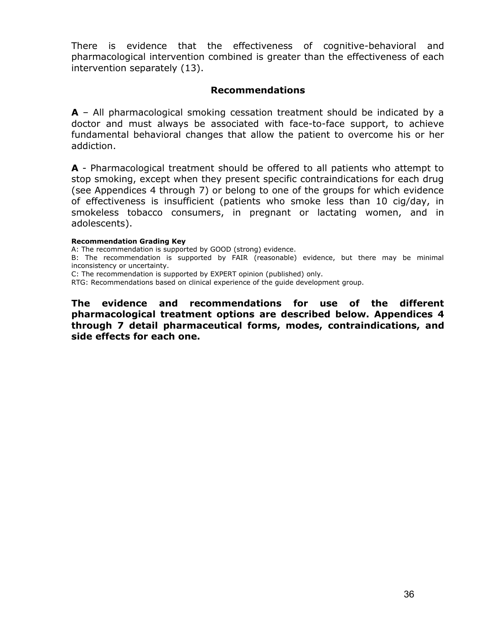There is evidence that the effectiveness of cognitive-behavioral and pharmacological intervention combined is greater than the effectiveness of each intervention separately (13).

#### **Recommendations**

**A** – All pharmacological smoking cessation treatment should be indicated by a doctor and must always be associated with face-to-face support, to achieve fundamental behavioral changes that allow the patient to overcome his or her addiction.

**A** - Pharmacological treatment should be offered to all patients who attempt to stop smoking, except when they present specific contraindications for each drug (see Appendices 4 through 7) or belong to one of the groups for which evidence of effectiveness is insufficient (patients who smoke less than 10 cig/day, in smokeless tobacco consumers, in pregnant or lactating women, and in adolescents).

#### **Recommendation Grading Key**

A: The recommendation is supported by GOOD (strong) evidence.

B: The recommendation is supported by FAIR (reasonable) evidence, but there may be minimal inconsistency or uncertainty.

C: The recommendation is supported by EXPERT opinion (published) only.

RTG: Recommendations based on clinical experience of the guide development group.

**The evidence and recommendations for use of the different pharmacological treatment options are described below. Appendices 4 through 7 detail pharmaceutical forms, modes, contraindications, and side effects for each one.**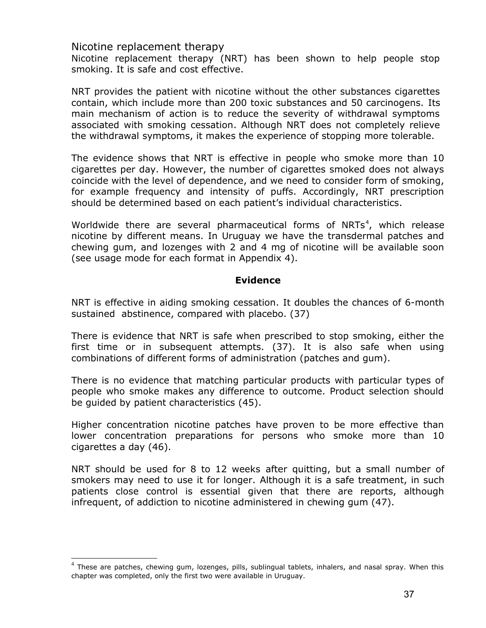Nicotine replacement therapy

Nicotine replacement therapy (NRT) has been shown to help people stop smoking. It is safe and cost effective.

NRT provides the patient with nicotine without the other substances cigarettes contain, which include more than 200 toxic substances and 50 carcinogens. Its main mechanism of action is to reduce the severity of withdrawal symptoms associated with smoking cessation. Although NRT does not completely relieve the withdrawal symptoms, it makes the experience of stopping more tolerable.

The evidence shows that NRT is effective in people who smoke more than 10 cigarettes per day. However, the number of cigarettes smoked does not always coincide with the level of dependence, and we need to consider form of smoking, for example frequency and intensity of puffs. Accordingly, NRT prescription should be determined based on each patient's individual characteristics.

Worldwide there are several pharmaceutical forms of NRTs<sup>[4](#page-36-0)</sup>, which release nicotine by different means. In Uruguay we have the transdermal patches and chewing gum, and lozenges with 2 and 4 mg of nicotine will be available soon (see usage mode for each format in Appendix 4).

# **Evidence**

NRT is effective in aiding smoking cessation. It doubles the chances of 6-month sustained abstinence, compared with placebo. (37)

There is evidence that NRT is safe when prescribed to stop smoking, either the first time or in subsequent attempts. (37). It is also safe when using combinations of different forms of administration (patches and gum).

There is no evidence that matching particular products with particular types of people who smoke makes any difference to outcome. Product selection should be guided by patient characteristics (45).

Higher concentration nicotine patches have proven to be more effective than lower concentration preparations for persons who smoke more than 10 cigarettes a day (46).

NRT should be used for 8 to 12 weeks after quitting, but a small number of smokers may need to use it for longer. Although it is a safe treatment, in such patients close control is essential given that there are reports, although infrequent, of addiction to nicotine administered in chewing gum (47).

<span id="page-36-0"></span> $^4$  These are patches, chewing gum, lozenges, pills, sublingual tablets, inhalers, and nasal spray. When this chapter was completed, only the first two were available in Uruguay.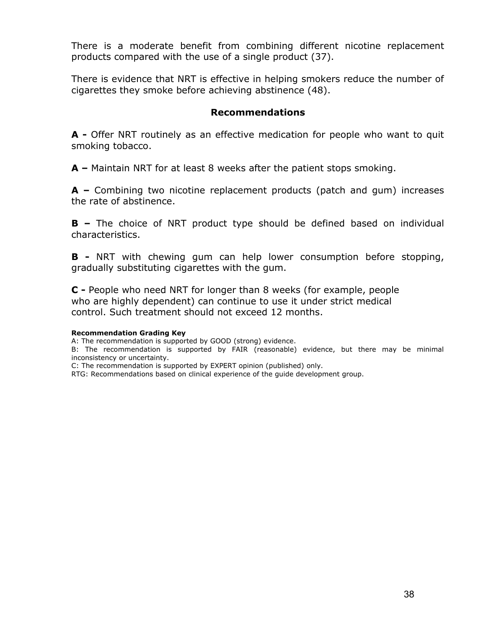There is a moderate benefit from combining different nicotine replacement products compared with the use of a single product (37).

There is evidence that NRT is effective in helping smokers reduce the number of cigarettes they smoke before achieving abstinence (48).

## **Recommendations**

**A -** Offer NRT routinely as an effective medication for people who want to quit smoking tobacco.

**A –** Maintain NRT for at least 8 weeks after the patient stops smoking.

**A –** Combining two nicotine replacement products (patch and gum) increases the rate of abstinence.

**B –** The choice of NRT product type should be defined based on individual characteristics.

**B -** NRT with chewing gum can help lower consumption before stopping, gradually substituting cigarettes with the gum.

**C -** People who need NRT for longer than 8 weeks (for example, people who are highly dependent) can continue to use it under strict medical control. Such treatment should not exceed 12 months.

#### **Recommendation Grading Key**

A: The recommendation is supported by GOOD (strong) evidence.

B: The recommendation is supported by FAIR (reasonable) evidence, but there may be minimal inconsistency or uncertainty.

C: The recommendation is supported by EXPERT opinion (published) only.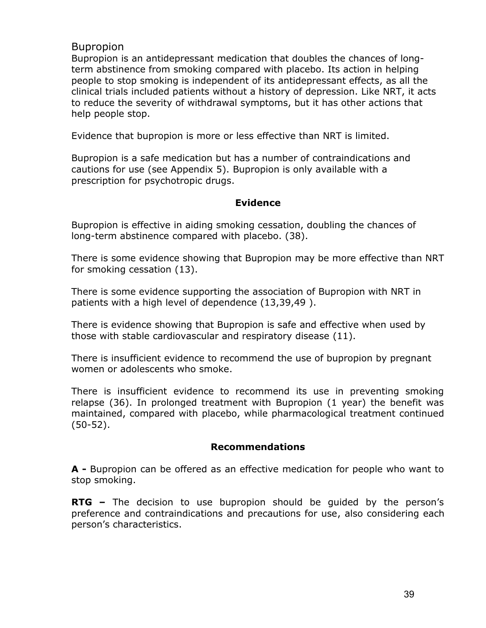# Bupropion

Bupropion is an antidepressant medication that doubles the chances of longterm abstinence from smoking compared with placebo. Its action in helping people to stop smoking is independent of its antidepressant effects, as all the clinical trials included patients without a history of depression. Like NRT, it acts to reduce the severity of withdrawal symptoms, but it has other actions that help people stop.

Evidence that bupropion is more or less effective than NRT is limited.

Bupropion is a safe medication but has a number of contraindications and cautions for use (see Appendix 5). Bupropion is only available with a prescription for psychotropic drugs.

# **Evidence**

Bupropion is effective in aiding smoking cessation, doubling the chances of long-term abstinence compared with placebo. (38).

There is some evidence showing that Bupropion may be more effective than NRT for smoking cessation (13).

There is some evidence supporting the association of Bupropion with NRT in patients with a high level of dependence (13,39,49 ).

There is evidence showing that Bupropion is safe and effective when used by those with stable cardiovascular and respiratory disease (11).

There is insufficient evidence to recommend the use of bupropion by pregnant women or adolescents who smoke.

There is insufficient evidence to recommend its use in preventing smoking relapse (36). In prolonged treatment with Bupropion (1 year) the benefit was maintained, compared with placebo, while pharmacological treatment continued (50-52).

## **Recommendations**

**A -** Bupropion can be offered as an effective medication for people who want to stop smoking.

**RTG –** The decision to use bupropion should be guided by the person's preference and contraindications and precautions for use, also considering each person's characteristics.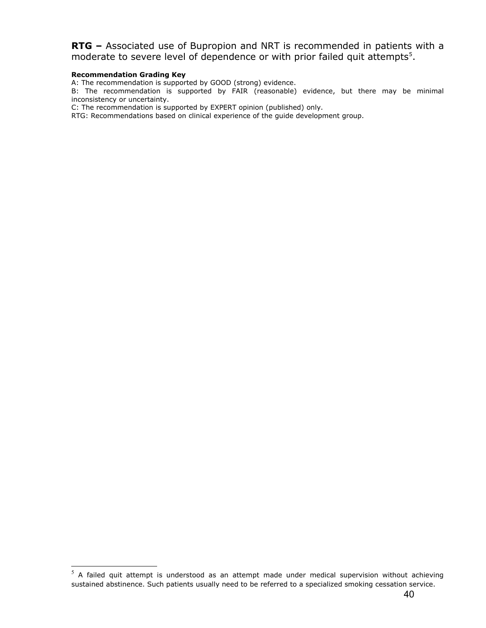**RTG –** Associated use of Bupropion and NRT is recommended in patients with a moderate to severe level of dependence or with prior failed quit attempts<sup>[5](#page-39-0)</sup>.

#### **Recommendation Grading Key**

A: The recommendation is supported by GOOD (strong) evidence.

B: The recommendation is supported by FAIR (reasonable) evidence, but there may be minimal inconsistency or uncertainty.

C: The recommendation is supported by EXPERT opinion (published) only.

<span id="page-39-0"></span> $5\,$  A failed quit attempt is understood as an attempt made under medical supervision without achieving sustained abstinence. Such patients usually need to be referred to a specialized smoking cessation service.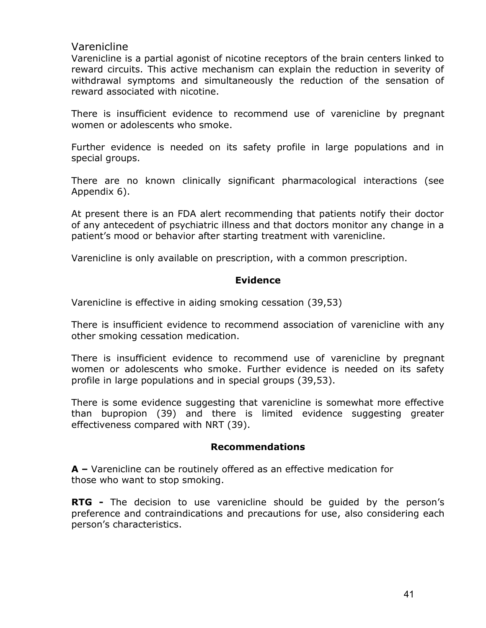# Varenicline

Varenicline is a partial agonist of nicotine receptors of the brain centers linked to reward circuits. This active mechanism can explain the reduction in severity of withdrawal symptoms and simultaneously the reduction of the sensation of reward associated with nicotine.

There is insufficient evidence to recommend use of varenicline by pregnant women or adolescents who smoke.

Further evidence is needed on its safety profile in large populations and in special groups.

There are no known clinically significant pharmacological interactions (see Appendix 6).

At present there is an FDA alert recommending that patients notify their doctor of any antecedent of psychiatric illness and that doctors monitor any change in a patient's mood or behavior after starting treatment with varenicline.

Varenicline is only available on prescription, with a common prescription.

# **Evidence**

Varenicline is effective in aiding smoking cessation (39,53)

There is insufficient evidence to recommend association of varenicline with any other smoking cessation medication.

There is insufficient evidence to recommend use of varenicline by pregnant women or adolescents who smoke. Further evidence is needed on its safety profile in large populations and in special groups (39,53).

There is some evidence suggesting that varenicline is somewhat more effective than bupropion (39) and there is limited evidence suggesting greater effectiveness compared with NRT (39).

# **Recommendations**

**A –** Varenicline can be routinely offered as an effective medication for those who want to stop smoking.

**RTG** - The decision to use varenicline should be quided by the person's preference and contraindications and precautions for use, also considering each person's characteristics.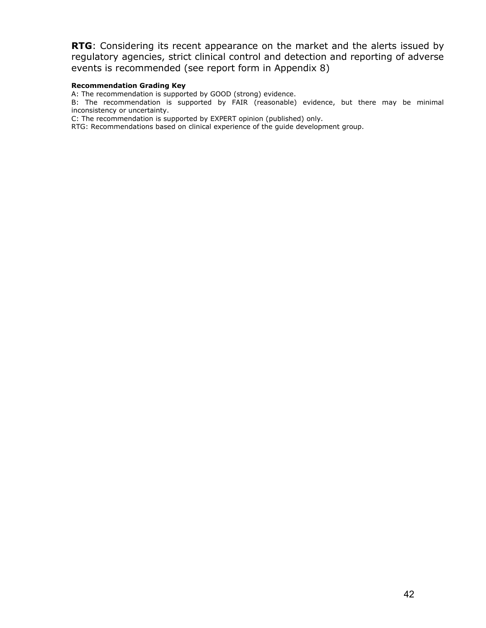**RTG**: Considering its recent appearance on the market and the alerts issued by regulatory agencies, strict clinical control and detection and reporting of adverse events is recommended (see report form in Appendix 8)

#### **Recommendation Grading Key**

A: The recommendation is supported by GOOD (strong) evidence.

B: The recommendation is supported by FAIR (reasonable) evidence, but there may be minimal inconsistency or uncertainty.

C: The recommendation is supported by EXPERT opinion (published) only.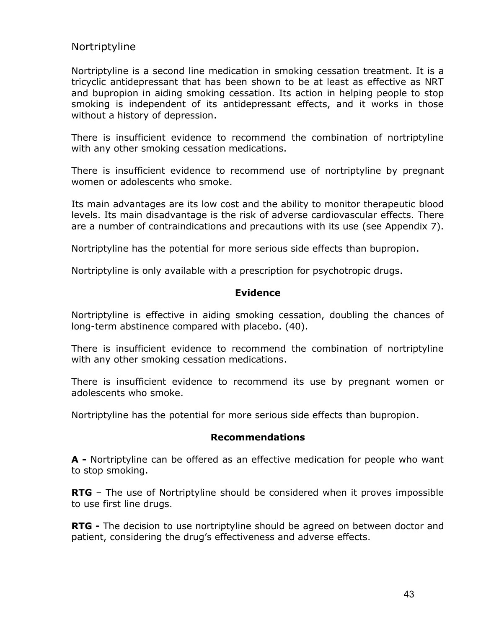# Nortriptyline

Nortriptyline is a second line medication in smoking cessation treatment. It is a tricyclic antidepressant that has been shown to be at least as effective as NRT and bupropion in aiding smoking cessation. Its action in helping people to stop smoking is independent of its antidepressant effects, and it works in those without a history of depression.

There is insufficient evidence to recommend the combination of nortriptyline with any other smoking cessation medications.

There is insufficient evidence to recommend use of nortriptyline by pregnant women or adolescents who smoke.

Its main advantages are its low cost and the ability to monitor therapeutic blood levels. Its main disadvantage is the risk of adverse cardiovascular effects. There are a number of contraindications and precautions with its use (see Appendix 7).

Nortriptyline has the potential for more serious side effects than bupropion.

Nortriptyline is only available with a prescription for psychotropic drugs.

## **Evidence**

Nortriptyline is effective in aiding smoking cessation, doubling the chances of long-term abstinence compared with placebo. (40).

There is insufficient evidence to recommend the combination of nortriptyline with any other smoking cessation medications.

There is insufficient evidence to recommend its use by pregnant women or adolescents who smoke.

Nortriptyline has the potential for more serious side effects than bupropion.

### **Recommendations**

**A -** Nortriptyline can be offered as an effective medication for people who want to stop smoking.

**RTG** – The use of Nortriptyline should be considered when it proves impossible to use first line drugs.

**RTG -** The decision to use nortriptyline should be agreed on between doctor and patient, considering the drug's effectiveness and adverse effects.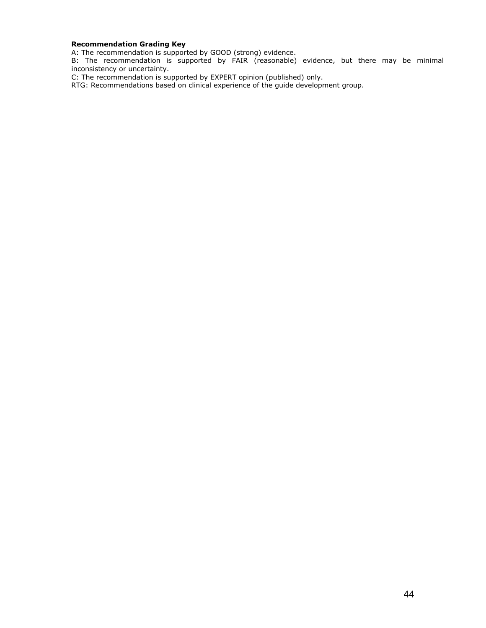#### **Recommendation Grading Key**

A: The recommendation is supported by GOOD (strong) evidence.

B: The recommendation is supported by FAIR (reasonable) evidence, but there may be minimal inconsistency or uncertainty.

C: The recommendation is supported by EXPERT opinion (published) only.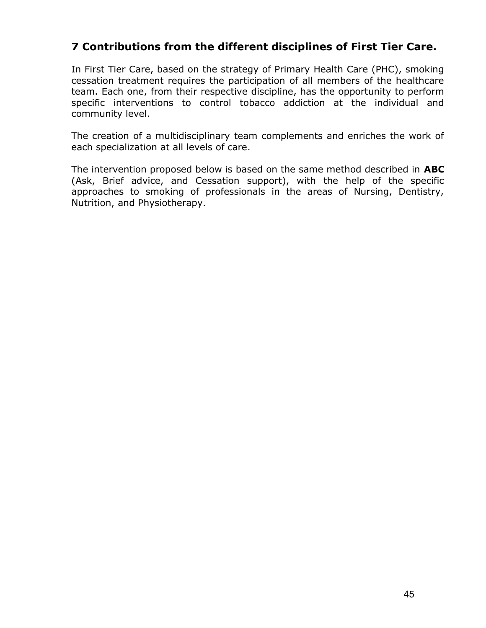# **7 Contributions from the different disciplines of First Tier Care.**

In First Tier Care, based on the strategy of Primary Health Care (PHC), smoking cessation treatment requires the participation of all members of the healthcare team. Each one, from their respective discipline, has the opportunity to perform specific interventions to control tobacco addiction at the individual and community level.

The creation of a multidisciplinary team complements and enriches the work of each specialization at all levels of care.

The intervention proposed below is based on the same method described in **ABC** (Ask, Brief advice, and Cessation support), with the help of the specific approaches to smoking of professionals in the areas of Nursing, Dentistry, Nutrition, and Physiotherapy.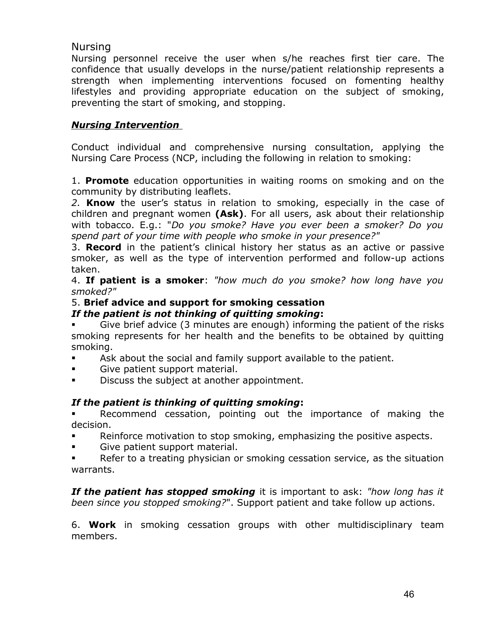# Nursing

Nursing personnel receive the user when s/he reaches first tier care. The confidence that usually develops in the nurse/patient relationship represents a strength when implementing interventions focused on fomenting healthy lifestyles and providing appropriate education on the subject of smoking, preventing the start of smoking, and stopping.

# *Nursing Intervention*

Conduct individual and comprehensive nursing consultation, applying the Nursing Care Process (NCP, including the following in relation to smoking:

1. **Promote** education opportunities in waiting rooms on smoking and on the community by distributing leaflets.

*2.* **Know** the user's status in relation to smoking, especially in the case of children and pregnant women **(Ask)**. For all users, ask about their relationship with tobacco. E.g.: "*Do you smoke? Have you ever been a smoker? Do you spend part of your time with people who smoke in your presence?"*

3. **Record** in the patient's clinical history her status as an active or passive smoker, as well as the type of intervention performed and follow-up actions taken.

4. **If patient is a smoker**: *"how much do you smoke? how long have you smoked?"*

# 5. **Brief advice and support for smoking cessation**

## *If the patient is not thinking of quitting smoking***:**

 Give brief advice (3 minutes are enough) informing the patient of the risks smoking represents for her health and the benefits to be obtained by quitting smoking.

- Ask about the social and family support available to the patient.
- Give patient support material.
- Discuss the subject at another appointment.

# *If the patient is thinking of quitting smoking***:**

 Recommend cessation, pointing out the importance of making the decision.

- Reinforce motivation to stop smoking, emphasizing the positive aspects.
- Give patient support material.
- **EXECT** Refer to a treating physician or smoking cessation service, as the situation warrants.

*If the patient has stopped smoking* it is important to ask: *"how long has it been since you stopped smoking?*". Support patient and take follow up actions.

6. **Work** in smoking cessation groups with other multidisciplinary team members.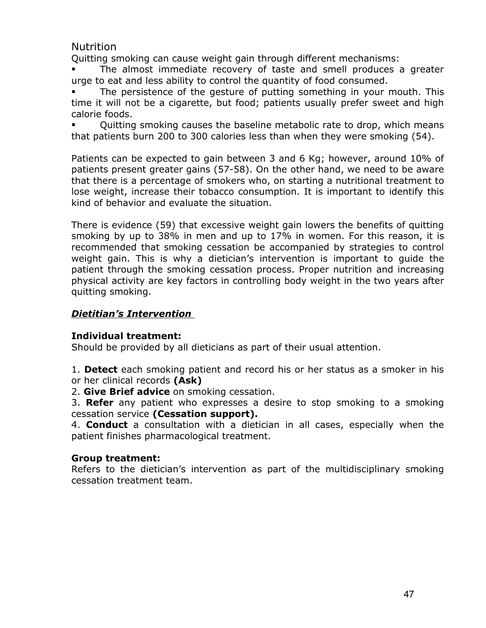Nutrition

Quitting smoking can cause weight gain through different mechanisms:

 The almost immediate recovery of taste and smell produces a greater urge to eat and less ability to control the quantity of food consumed.

 The persistence of the gesture of putting something in your mouth. This time it will not be a cigarette, but food; patients usually prefer sweet and high calorie foods.

 Quitting smoking causes the baseline metabolic rate to drop, which means that patients burn 200 to 300 calories less than when they were smoking (54).

Patients can be expected to gain between 3 and 6 Kg; however, around 10% of patients present greater gains (57-58). On the other hand, we need to be aware that there is a percentage of smokers who, on starting a nutritional treatment to lose weight, increase their tobacco consumption. It is important to identify this kind of behavior and evaluate the situation.

There is evidence (59) that excessive weight gain lowers the benefits of quitting smoking by up to 38% in men and up to 17% in women. For this reason, it is recommended that smoking cessation be accompanied by strategies to control weight gain. This is why a dietician's intervention is important to guide the patient through the smoking cessation process. Proper nutrition and increasing physical activity are key factors in controlling body weight in the two years after quitting smoking.

# *Dietitian's Intervention*

# **Individual treatment:**

Should be provided by all dieticians as part of their usual attention.

1. **Detect** each smoking patient and record his or her status as a smoker in his or her clinical records **(Ask)**

2. **Give Brief advice** on smoking cessation.

3. **Refer** any patient who expresses a desire to stop smoking to a smoking cessation service **(Cessation support).**

4. **Conduct** a consultation with a dietician in all cases, especially when the patient finishes pharmacological treatment.

# **Group treatment:**

Refers to the dietician's intervention as part of the multidisciplinary smoking cessation treatment team.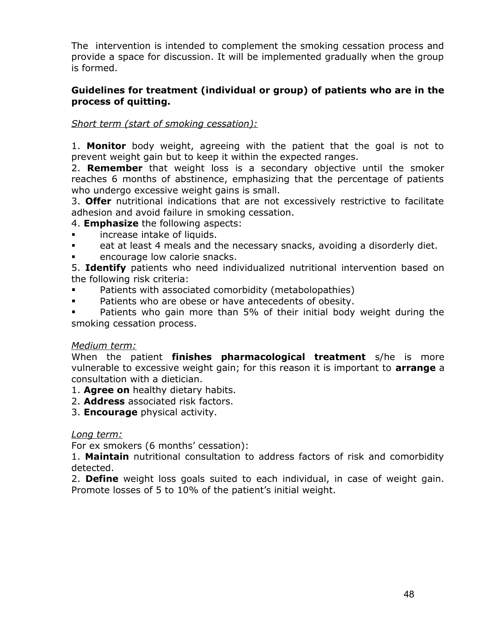The intervention is intended to complement the smoking cessation process and provide a space for discussion. It will be implemented gradually when the group is formed.

# **Guidelines for treatment (individual or group) of patients who are in the process of quitting.**

# *Short term (start of smoking cessation):*

1. **Monitor** body weight, agreeing with the patient that the goal is not to prevent weight gain but to keep it within the expected ranges.

2. **Remember** that weight loss is a secondary objective until the smoker reaches 6 months of abstinence, emphasizing that the percentage of patients who undergo excessive weight gains is small.

3. **Offer** nutritional indications that are not excessively restrictive to facilitate adhesion and avoid failure in smoking cessation.

4. **Emphasize** the following aspects:

- increase intake of liquids.
- eat at least 4 meals and the necessary snacks, avoiding a disorderly diet.
- **EXECUTE:** encourage low calorie snacks.

5. **Identify** patients who need individualized nutritional intervention based on the following risk criteria:

- Patients with associated comorbidity (metabolopathies)
- **Patients who are obese or have antecedents of obesity.**

 Patients who gain more than 5% of their initial body weight during the smoking cessation process.

## *Medium term:*

When the patient **finishes pharmacological treatment** s/he is more vulnerable to excessive weight gain; for this reason it is important to **arrange** a consultation with a dietician.

- 1. **Agree on** healthy dietary habits.
- 2. **Address** associated risk factors.
- 3. **Encourage** physical activity.

## *Long term:*

For ex smokers (6 months' cessation):

1. **Maintain** nutritional consultation to address factors of risk and comorbidity detected.

2. **Define** weight loss goals suited to each individual, in case of weight gain. Promote losses of 5 to 10% of the patient's initial weight.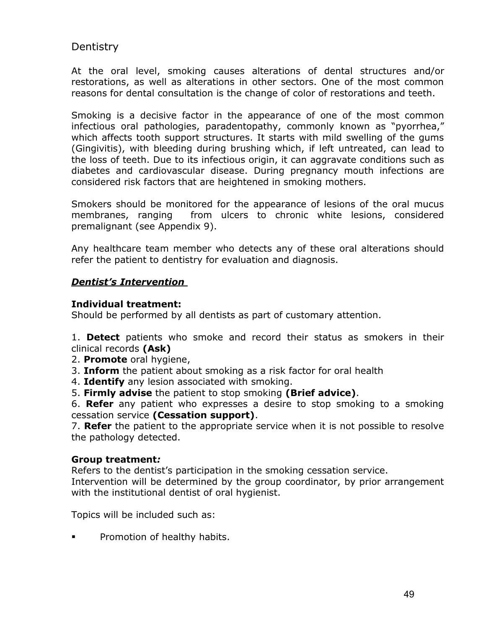# **Dentistry**

At the oral level, smoking causes alterations of dental structures and/or restorations, as well as alterations in other sectors. One of the most common reasons for dental consultation is the change of color of restorations and teeth.

Smoking is a decisive factor in the appearance of one of the most common infectious oral pathologies, paradentopathy, commonly known as "pyorrhea," which affects tooth support structures. It starts with mild swelling of the gums (Gingivitis), with bleeding during brushing which, if left untreated, can lead to the loss of teeth. Due to its infectious origin, it can aggravate conditions such as diabetes and cardiovascular disease. During pregnancy mouth infections are considered risk factors that are heightened in smoking mothers.

Smokers should be monitored for the appearance of lesions of the oral mucus membranes, ranging from ulcers to chronic white lesions, considered premalignant (see Appendix 9).

Any healthcare team member who detects any of these oral alterations should refer the patient to dentistry for evaluation and diagnosis.

# *Dentist's Intervention*

## **Individual treatment:**

Should be performed by all dentists as part of customary attention.

1. **Detect** patients who smoke and record their status as smokers in their clinical records **(Ask)**

- 2. **Promote** oral hygiene,
- 3. **Inform** the patient about smoking as a risk factor for oral health
- 4. **Identify** any lesion associated with smoking.
- 5. **Firmly advise** the patient to stop smoking **(Brief advice)**.

6. **Refer** any patient who expresses a desire to stop smoking to a smoking cessation service **(Cessation support)**.

7. **Refer** the patient to the appropriate service when it is not possible to resolve the pathology detected.

## **Group treatment***:*

Refers to the dentist's participation in the smoking cessation service.

Intervention will be determined by the group coordinator, by prior arrangement with the institutional dentist of oral hygienist.

Topics will be included such as:

**Promotion of healthy habits.**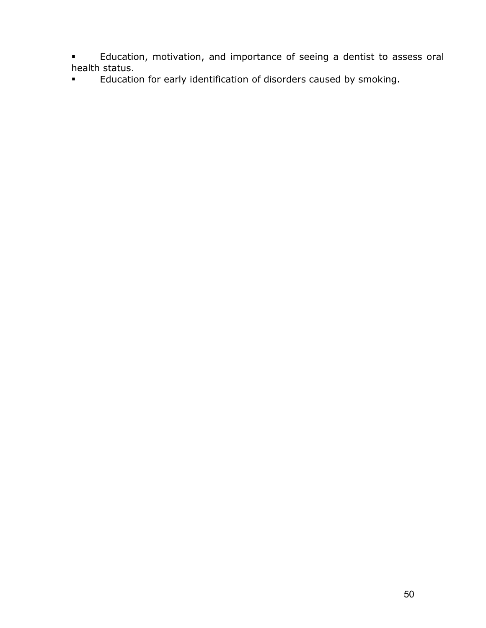- **Education, motivation, and importance of seeing a dentist to assess oral** health status.
- **Education for early identification of disorders caused by smoking.**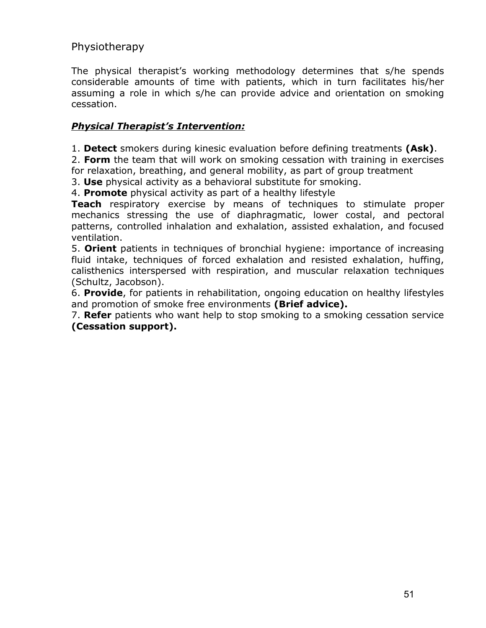# Physiotherapy

The physical therapist's working methodology determines that s/he spends considerable amounts of time with patients, which in turn facilitates his/her assuming a role in which s/he can provide advice and orientation on smoking cessation.

# *Physical Therapist's Intervention:*

1. **Detect** smokers during kinesic evaluation before defining treatments **(Ask)**.

2. **Form** the team that will work on smoking cessation with training in exercises for relaxation, breathing, and general mobility, as part of group treatment

3. **Use** physical activity as a behavioral substitute for smoking.

4. **Promote** physical activity as part of a healthy lifestyle

**Teach** respiratory exercise by means of techniques to stimulate proper mechanics stressing the use of diaphragmatic, lower costal, and pectoral patterns, controlled inhalation and exhalation, assisted exhalation, and focused ventilation.

5. **Orient** patients in techniques of bronchial hygiene: importance of increasing fluid intake, techniques of forced exhalation and resisted exhalation, huffing, calisthenics interspersed with respiration, and muscular relaxation techniques (Schultz, Jacobson).

6. **Provide**, for patients in rehabilitation, ongoing education on healthy lifestyles and promotion of smoke free environments **(Brief advice).**

7. **Refer** patients who want help to stop smoking to a smoking cessation service **(Cessation support).**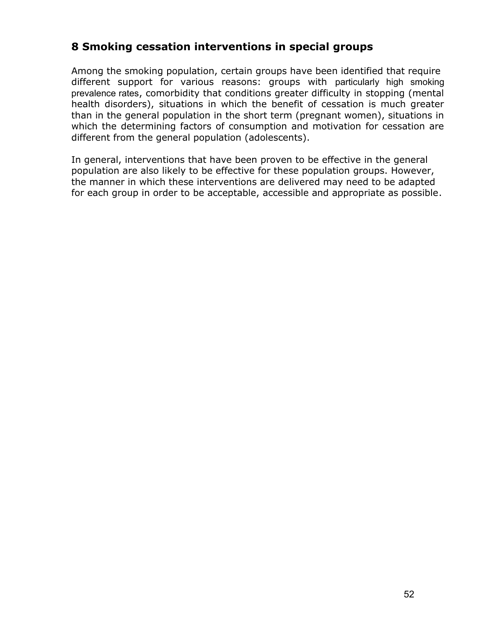# **8 Smoking cessation interventions in special groups**

Among the smoking population, certain groups have been identified that require different support for various reasons: groups with particularly high smoking prevalence rates, comorbidity that conditions greater difficulty in stopping (mental health disorders), situations in which the benefit of cessation is much greater than in the general population in the short term (pregnant women), situations in which the determining factors of consumption and motivation for cessation are different from the general population (adolescents).

In general, interventions that have been proven to be effective in the general population are also likely to be effective for these population groups. However, the manner in which these interventions are delivered may need to be adapted for each group in order to be acceptable, accessible and appropriate as possible.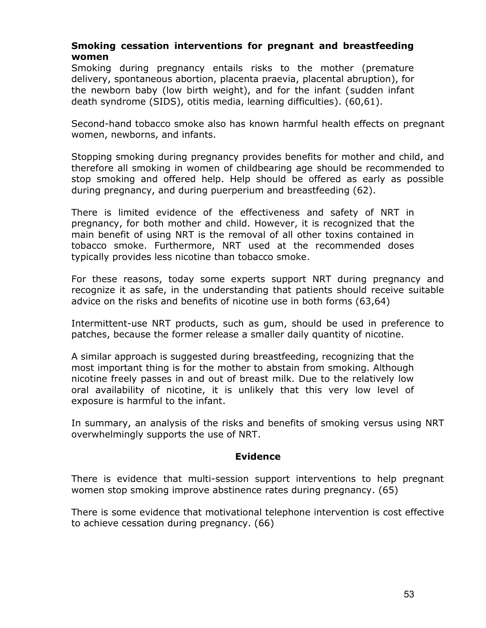# **Smoking cessation interventions for pregnant and breastfeeding women**

Smoking during pregnancy entails risks to the mother (premature delivery, spontaneous abortion, placenta praevia, placental abruption), for the newborn baby (low birth weight), and for the infant (sudden infant death syndrome (SIDS), otitis media, learning difficulties). (60,61).

Second-hand tobacco smoke also has known harmful health effects on pregnant women, newborns, and infants.

Stopping smoking during pregnancy provides benefits for mother and child, and therefore all smoking in women of childbearing age should be recommended to stop smoking and offered help. Help should be offered as early as possible during pregnancy, and during puerperium and breastfeeding (62).

There is limited evidence of the effectiveness and safety of NRT in pregnancy, for both mother and child. However, it is recognized that the main benefit of using NRT is the removal of all other toxins contained in tobacco smoke. Furthermore, NRT used at the recommended doses typically provides less nicotine than tobacco smoke.

For these reasons, today some experts support NRT during pregnancy and recognize it as safe, in the understanding that patients should receive suitable advice on the risks and benefits of nicotine use in both forms (63,64)

Intermittent-use NRT products, such as gum, should be used in preference to patches, because the former release a smaller daily quantity of nicotine.

A similar approach is suggested during breastfeeding, recognizing that the most important thing is for the mother to abstain from smoking. Although nicotine freely passes in and out of breast milk. Due to the relatively low oral availability of nicotine, it is unlikely that this very low level of exposure is harmful to the infant.

In summary, an analysis of the risks and benefits of smoking versus using NRT overwhelmingly supports the use of NRT.

## **Evidence**

There is evidence that multi-session support interventions to help pregnant women stop smoking improve abstinence rates during pregnancy. (65)

There is some evidence that motivational telephone intervention is cost effective to achieve cessation during pregnancy. (66)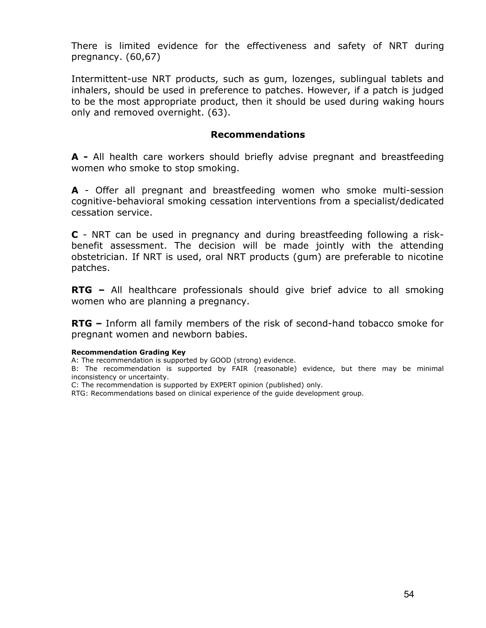There is limited evidence for the effectiveness and safety of NRT during pregnancy. (60,67)

Intermittent-use NRT products, such as gum, lozenges, sublingual tablets and inhalers, should be used in preference to patches. However, if a patch is judged to be the most appropriate product, then it should be used during waking hours only and removed overnight. (63).

### **Recommendations**

**A -** All health care workers should briefly advise pregnant and breastfeeding women who smoke to stop smoking.

**A** - Offer all pregnant and breastfeeding women who smoke multi-session cognitive-behavioral smoking cessation interventions from a specialist/dedicated cessation service.

**C** - NRT can be used in pregnancy and during breastfeeding following a riskbenefit assessment. The decision will be made jointly with the attending obstetrician. If NRT is used, oral NRT products (gum) are preferable to nicotine patches.

**RTG –** All healthcare professionals should give brief advice to all smoking women who are planning a pregnancy.

**RTG –** Inform all family members of the risk of second-hand tobacco smoke for pregnant women and newborn babies.

#### **Recommendation Grading Key**

A: The recommendation is supported by GOOD (strong) evidence.

B: The recommendation is supported by FAIR (reasonable) evidence, but there may be minimal inconsistency or uncertainty.

C: The recommendation is supported by EXPERT opinion (published) only.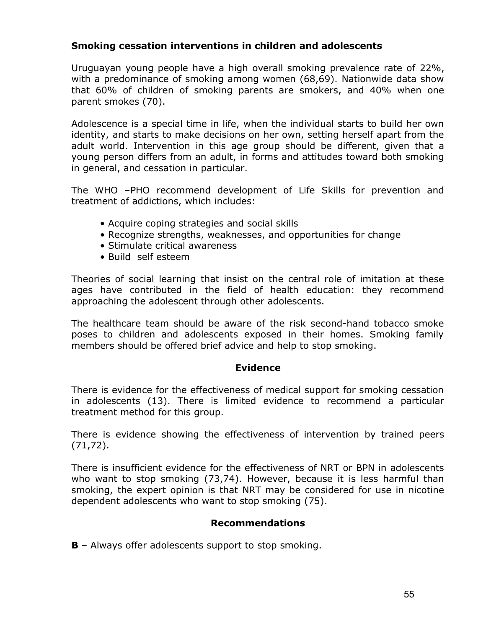# **Smoking cessation interventions in children and adolescents**

Uruguayan young people have a high overall smoking prevalence rate of 22%, with a predominance of smoking among women (68,69). Nationwide data show that 60% of children of smoking parents are smokers, and 40% when one parent smokes (70).

Adolescence is a special time in life, when the individual starts to build her own identity, and starts to make decisions on her own, setting herself apart from the adult world. Intervention in this age group should be different, given that a young person differs from an adult, in forms and attitudes toward both smoking in general, and cessation in particular.

The WHO –PHO recommend development of Life Skills for prevention and treatment of addictions, which includes:

- Acquire coping strategies and social skills
- Recognize strengths, weaknesses, and opportunities for change
- Stimulate critical awareness
- Build self esteem

Theories of social learning that insist on the central role of imitation at these ages have contributed in the field of health education: they recommend approaching the adolescent through other adolescents.

The healthcare team should be aware of the risk second-hand tobacco smoke poses to children and adolescents exposed in their homes. Smoking family members should be offered brief advice and help to stop smoking.

## **Evidence**

There is evidence for the effectiveness of medical support for smoking cessation in adolescents (13). There is limited evidence to recommend a particular treatment method for this group.

There is evidence showing the effectiveness of intervention by trained peers (71,72).

There is insufficient evidence for the effectiveness of NRT or BPN in adolescents who want to stop smoking (73,74). However, because it is less harmful than smoking, the expert opinion is that NRT may be considered for use in nicotine dependent adolescents who want to stop smoking (75).

# **Recommendations**

**B** – Always offer adolescents support to stop smoking.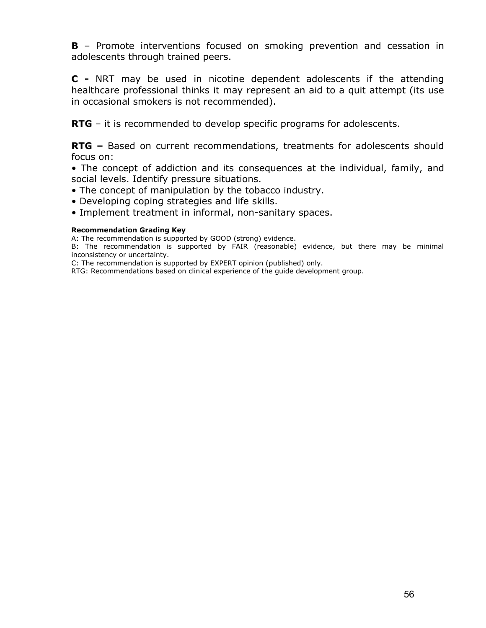**B** – Promote interventions focused on smoking prevention and cessation in adolescents through trained peers.

**C -** NRT may be used in nicotine dependent adolescents if the attending healthcare professional thinks it may represent an aid to a quit attempt (its use in occasional smokers is not recommended).

**RTG** – it is recommended to develop specific programs for adolescents.

**RTG –** Based on current recommendations, treatments for adolescents should focus on:

• The concept of addiction and its consequences at the individual, family, and social levels. Identify pressure situations.

- The concept of manipulation by the tobacco industry.
- Developing coping strategies and life skills.
- Implement treatment in informal, non-sanitary spaces.

#### **Recommendation Grading Key**

A: The recommendation is supported by GOOD (strong) evidence.

B: The recommendation is supported by FAIR (reasonable) evidence, but there may be minimal inconsistency or uncertainty.

C: The recommendation is supported by EXPERT opinion (published) only.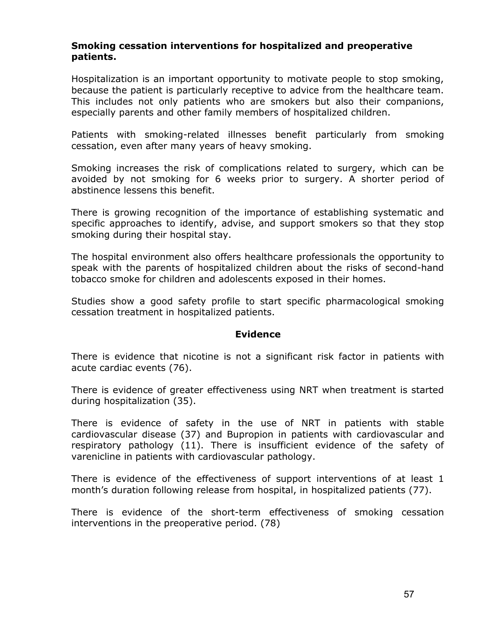## **Smoking cessation interventions for hospitalized and preoperative patients.**

Hospitalization is an important opportunity to motivate people to stop smoking, because the patient is particularly receptive to advice from the healthcare team. This includes not only patients who are smokers but also their companions, especially parents and other family members of hospitalized children.

Patients with smoking-related illnesses benefit particularly from smoking cessation, even after many years of heavy smoking.

Smoking increases the risk of complications related to surgery, which can be avoided by not smoking for 6 weeks prior to surgery. A shorter period of abstinence lessens this benefit.

There is growing recognition of the importance of establishing systematic and specific approaches to identify, advise, and support smokers so that they stop smoking during their hospital stay.

The hospital environment also offers healthcare professionals the opportunity to speak with the parents of hospitalized children about the risks of second-hand tobacco smoke for children and adolescents exposed in their homes.

Studies show a good safety profile to start specific pharmacological smoking cessation treatment in hospitalized patients.

### **Evidence**

There is evidence that nicotine is not a significant risk factor in patients with acute cardiac events (76).

There is evidence of greater effectiveness using NRT when treatment is started during hospitalization (35).

There is evidence of safety in the use of NRT in patients with stable cardiovascular disease (37) and Bupropion in patients with cardiovascular and respiratory pathology (11). There is insufficient evidence of the safety of varenicline in patients with cardiovascular pathology.

There is evidence of the effectiveness of support interventions of at least 1 month's duration following release from hospital, in hospitalized patients (77).

There is evidence of the short-term effectiveness of smoking cessation interventions in the preoperative period. (78)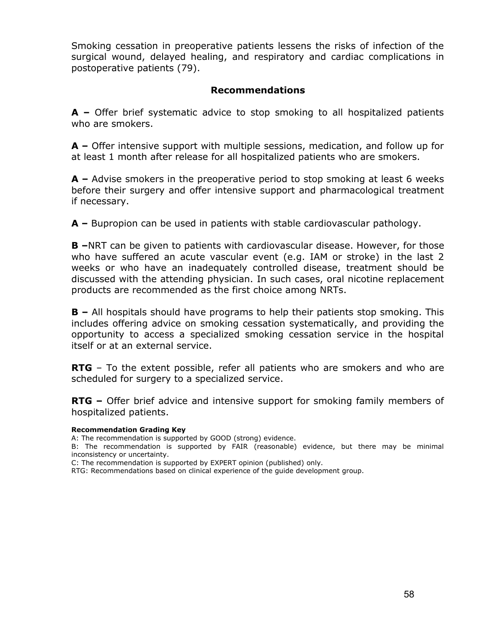Smoking cessation in preoperative patients lessens the risks of infection of the surgical wound, delayed healing, and respiratory and cardiac complications in postoperative patients (79).

# **Recommendations**

**A –** Offer brief systematic advice to stop smoking to all hospitalized patients who are smokers.

**A –** Offer intensive support with multiple sessions, medication, and follow up for at least 1 month after release for all hospitalized patients who are smokers.

**A –** Advise smokers in the preoperative period to stop smoking at least 6 weeks before their surgery and offer intensive support and pharmacological treatment if necessary.

**A –** Bupropion can be used in patients with stable cardiovascular pathology.

**B –**NRT can be given to patients with cardiovascular disease. However, for those who have suffered an acute vascular event (e.g. IAM or stroke) in the last 2 weeks or who have an inadequately controlled disease, treatment should be discussed with the attending physician. In such cases, oral nicotine replacement products are recommended as the first choice among NRTs.

**B –** All hospitals should have programs to help their patients stop smoking. This includes offering advice on smoking cessation systematically, and providing the opportunity to access a specialized smoking cessation service in the hospital itself or at an external service.

**RTG** – To the extent possible, refer all patients who are smokers and who are scheduled for surgery to a specialized service.

**RTG –** Offer brief advice and intensive support for smoking family members of hospitalized patients.

#### **Recommendation Grading Key**

A: The recommendation is supported by GOOD (strong) evidence.

B: The recommendation is supported by FAIR (reasonable) evidence, but there may be minimal inconsistency or uncertainty.

C: The recommendation is supported by EXPERT opinion (published) only.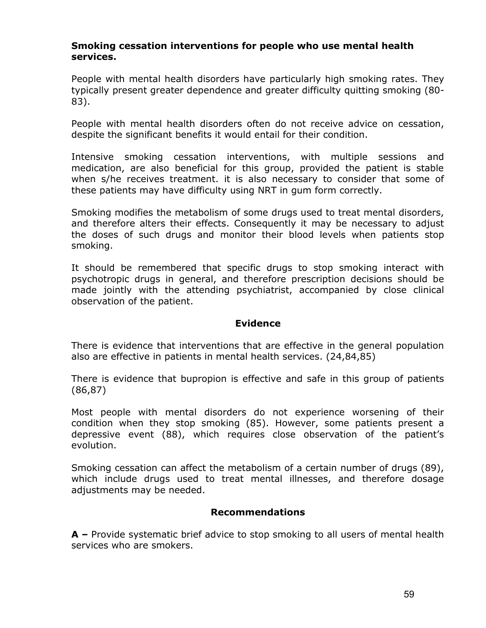### **Smoking cessation interventions for people who use mental health services.**

People with mental health disorders have particularly high smoking rates. They typically present greater dependence and greater difficulty quitting smoking (80- 83).

People with mental health disorders often do not receive advice on cessation, despite the significant benefits it would entail for their condition.

Intensive smoking cessation interventions, with multiple sessions and medication, are also beneficial for this group, provided the patient is stable when s/he receives treatment. it is also necessary to consider that some of these patients may have difficulty using NRT in gum form correctly.

Smoking modifies the metabolism of some drugs used to treat mental disorders, and therefore alters their effects. Consequently it may be necessary to adjust the doses of such drugs and monitor their blood levels when patients stop smoking.

It should be remembered that specific drugs to stop smoking interact with psychotropic drugs in general, and therefore prescription decisions should be made jointly with the attending psychiatrist, accompanied by close clinical observation of the patient.

### **Evidence**

There is evidence that interventions that are effective in the general population also are effective in patients in mental health services. (24,84,85)

There is evidence that bupropion is effective and safe in this group of patients (86,87)

Most people with mental disorders do not experience worsening of their condition when they stop smoking (85). However, some patients present a depressive event (88), which requires close observation of the patient's evolution.

Smoking cessation can affect the metabolism of a certain number of drugs (89), which include drugs used to treat mental illnesses, and therefore dosage adjustments may be needed.

## **Recommendations**

**A –** Provide systematic brief advice to stop smoking to all users of mental health services who are smokers.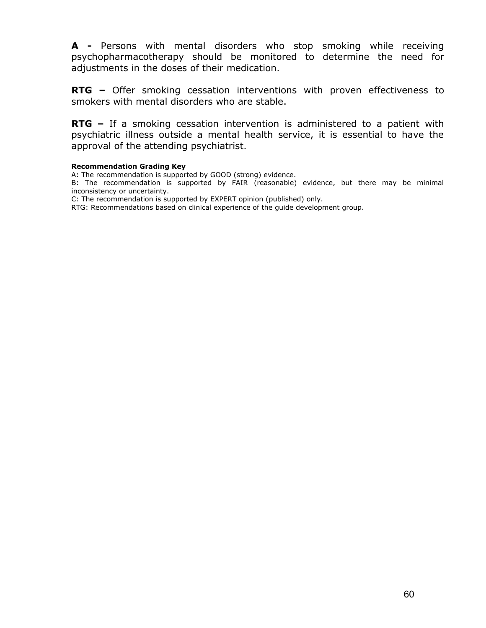**A -** Persons with mental disorders who stop smoking while receiving psychopharmacotherapy should be monitored to determine the need for adjustments in the doses of their medication.

**RTG** – Offer smoking cessation interventions with proven effectiveness to smokers with mental disorders who are stable.

**RTG –** If a smoking cessation intervention is administered to a patient with psychiatric illness outside a mental health service, it is essential to have the approval of the attending psychiatrist.

#### **Recommendation Grading Key**

A: The recommendation is supported by GOOD (strong) evidence.

B: The recommendation is supported by FAIR (reasonable) evidence, but there may be minimal inconsistency or uncertainty.

C: The recommendation is supported by EXPERT opinion (published) only.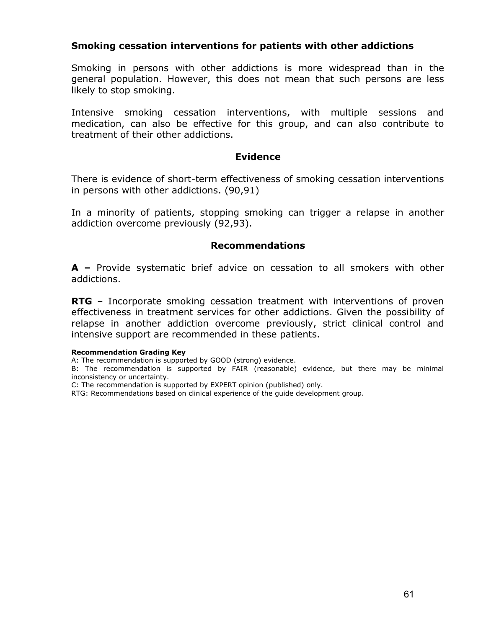# **Smoking cessation interventions for patients with other addictions**

Smoking in persons with other addictions is more widespread than in the general population. However, this does not mean that such persons are less likely to stop smoking.

Intensive smoking cessation interventions, with multiple sessions and medication, can also be effective for this group, and can also contribute to treatment of their other addictions.

### **Evidence**

There is evidence of short-term effectiveness of smoking cessation interventions in persons with other addictions. (90,91)

In a minority of patients, stopping smoking can trigger a relapse in another addiction overcome previously (92,93).

### **Recommendations**

**A –** Provide systematic brief advice on cessation to all smokers with other addictions.

**RTG** – Incorporate smoking cessation treatment with interventions of proven effectiveness in treatment services for other addictions. Given the possibility of relapse in another addiction overcome previously, strict clinical control and intensive support are recommended in these patients.

#### **Recommendation Grading Key**

A: The recommendation is supported by GOOD (strong) evidence.

B: The recommendation is supported by FAIR (reasonable) evidence, but there may be minimal inconsistency or uncertainty.

C: The recommendation is supported by EXPERT opinion (published) only.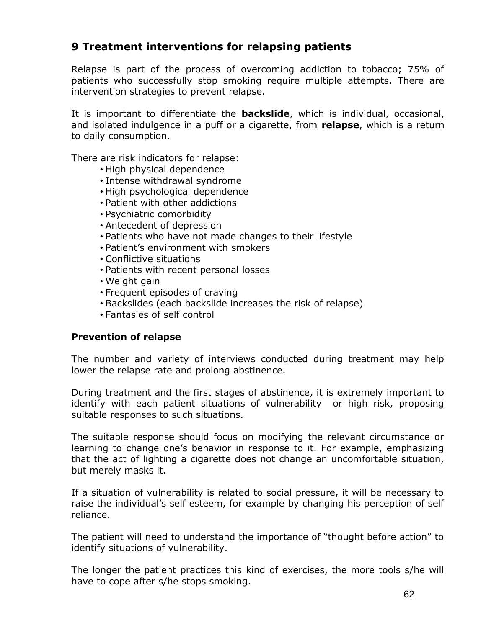# **9 Treatment interventions for relapsing patients**

Relapse is part of the process of overcoming addiction to tobacco; 75% of patients who successfully stop smoking require multiple attempts. There are intervention strategies to prevent relapse.

It is important to differentiate the **backslide**, which is individual, occasional, and isolated indulgence in a puff or a cigarette, from **relapse**, which is a return to daily consumption.

There are risk indicators for relapse:

- High physical dependence
- Intense withdrawal syndrome
- High psychological dependence
- Patient with other addictions
- Psychiatric comorbidity
- Antecedent of depression
- Patients who have not made changes to their lifestyle
- Patient's environment with smokers
- Conflictive situations
- Patients with recent personal losses
- Weight gain
- Frequent episodes of craving
- Backslides (each backslide increases the risk of relapse)
- Fantasies of self control

## **Prevention of relapse**

The number and variety of interviews conducted during treatment may help lower the relapse rate and prolong abstinence.

During treatment and the first stages of abstinence, it is extremely important to identify with each patient situations of vulnerability or high risk, proposing suitable responses to such situations.

The suitable response should focus on modifying the relevant circumstance or learning to change one's behavior in response to it. For example, emphasizing that the act of lighting a cigarette does not change an uncomfortable situation, but merely masks it.

If a situation of vulnerability is related to social pressure, it will be necessary to raise the individual's self esteem, for example by changing his perception of self reliance.

The patient will need to understand the importance of "thought before action" to identify situations of vulnerability.

The longer the patient practices this kind of exercises, the more tools s/he will have to cope after s/he stops smoking.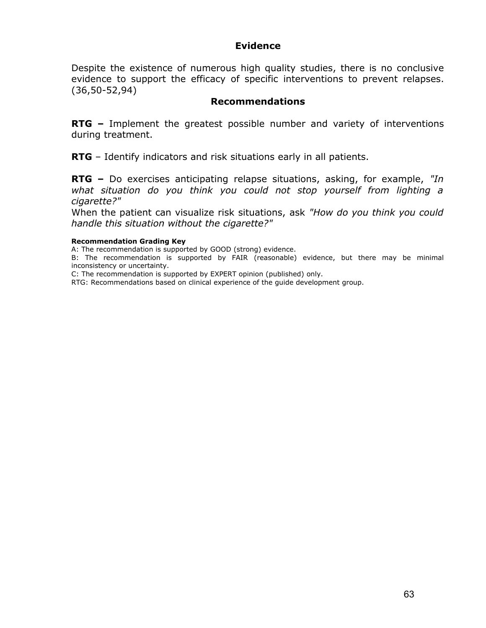## **Evidence**

Despite the existence of numerous high quality studies, there is no conclusive evidence to support the efficacy of specific interventions to prevent relapses. (36,50-52,94)

## **Recommendations**

**RTG –** Implement the greatest possible number and variety of interventions during treatment.

**RTG** – Identify indicators and risk situations early in all patients.

**RTG –** Do exercises anticipating relapse situations, asking, for example, *"In what situation do you think you could not stop yourself from lighting a cigarette?"*

When the patient can visualize risk situations, ask *"How do you think you could handle this situation without the cigarette?"*

#### **Recommendation Grading Key**

A: The recommendation is supported by GOOD (strong) evidence.

B: The recommendation is supported by FAIR (reasonable) evidence, but there may be minimal inconsistency or uncertainty.

C: The recommendation is supported by EXPERT opinion (published) only.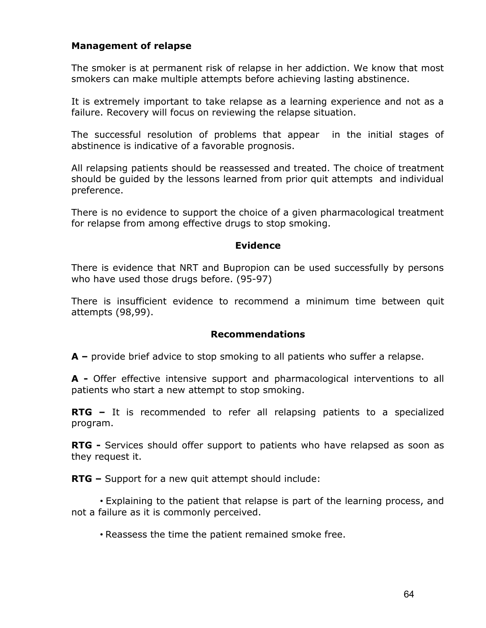# **Management of relapse**

The smoker is at permanent risk of relapse in her addiction. We know that most smokers can make multiple attempts before achieving lasting abstinence.

It is extremely important to take relapse as a learning experience and not as a failure. Recovery will focus on reviewing the relapse situation.

The successful resolution of problems that appear in the initial stages of abstinence is indicative of a favorable prognosis.

All relapsing patients should be reassessed and treated. The choice of treatment should be guided by the lessons learned from prior quit attempts and individual preference.

There is no evidence to support the choice of a given pharmacological treatment for relapse from among effective drugs to stop smoking.

## **Evidence**

There is evidence that NRT and Bupropion can be used successfully by persons who have used those drugs before. (95-97)

There is insufficient evidence to recommend a minimum time between quit attempts (98,99).

## **Recommendations**

**A –** provide brief advice to stop smoking to all patients who suffer a relapse.

**A -** Offer effective intensive support and pharmacological interventions to all patients who start a new attempt to stop smoking.

**RTG –** It is recommended to refer all relapsing patients to a specialized program.

**RTG -** Services should offer support to patients who have relapsed as soon as they request it.

**RTG –** Support for a new quit attempt should include:

• Explaining to the patient that relapse is part of the learning process, and not a failure as it is commonly perceived.

• Reassess the time the patient remained smoke free.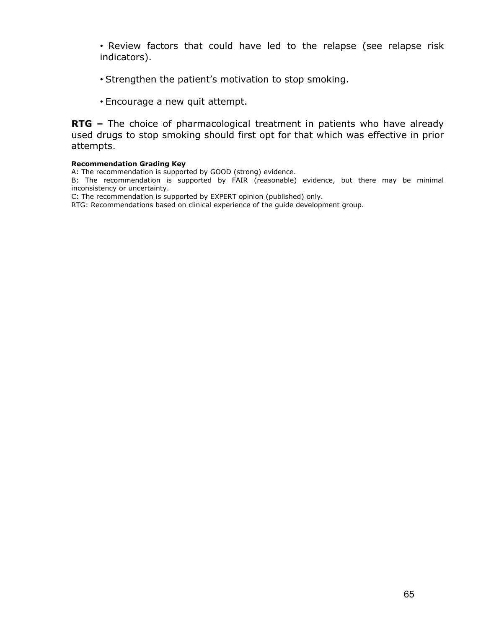- Review factors that could have led to the relapse (see relapse risk indicators).
- Strengthen the patient's motivation to stop smoking.
- Encourage a new quit attempt.

**RTG** – The choice of pharmacological treatment in patients who have already used drugs to stop smoking should first opt for that which was effective in prior attempts.

#### **Recommendation Grading Key**

A: The recommendation is supported by GOOD (strong) evidence.

B: The recommendation is supported by FAIR (reasonable) evidence, but there may be minimal inconsistency or uncertainty.

C: The recommendation is supported by EXPERT opinion (published) only.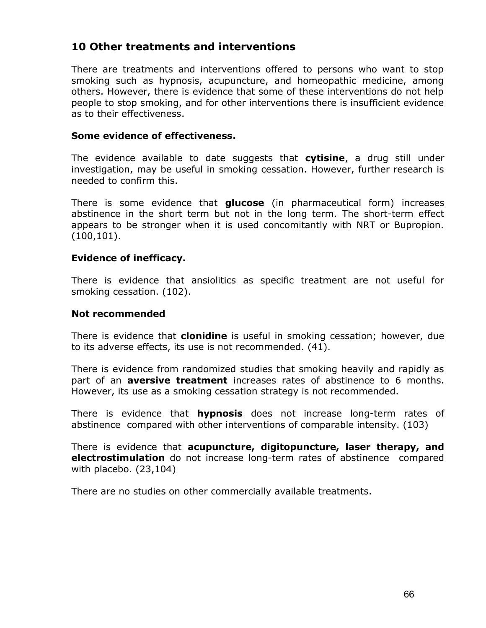# **10 Other treatments and interventions**

There are treatments and interventions offered to persons who want to stop smoking such as hypnosis, acupuncture, and homeopathic medicine, among others. However, there is evidence that some of these interventions do not help people to stop smoking, and for other interventions there is insufficient evidence as to their effectiveness.

## **Some evidence of effectiveness.**

The evidence available to date suggests that **cytisine**, a drug still under investigation, may be useful in smoking cessation. However, further research is needed to confirm this.

There is some evidence that **glucose** (in pharmaceutical form) increases abstinence in the short term but not in the long term. The short-term effect appears to be stronger when it is used concomitantly with NRT or Bupropion. (100,101).

## **Evidence of inefficacy.**

There is evidence that ansiolitics as specific treatment are not useful for smoking cessation. (102).

### **Not recommended**

There is evidence that **clonidine** is useful in smoking cessation; however, due to its adverse effects, its use is not recommended. (41).

There is evidence from randomized studies that smoking heavily and rapidly as part of an **aversive treatment** increases rates of abstinence to 6 months. However, its use as a smoking cessation strategy is not recommended.

There is evidence that **hypnosis** does not increase long-term rates of abstinence compared with other interventions of comparable intensity. (103)

There is evidence that **acupuncture, digitopuncture, laser therapy, and electrostimulation** do not increase long-term rates of abstinence compared with placebo. (23,104)

There are no studies on other commercially available treatments.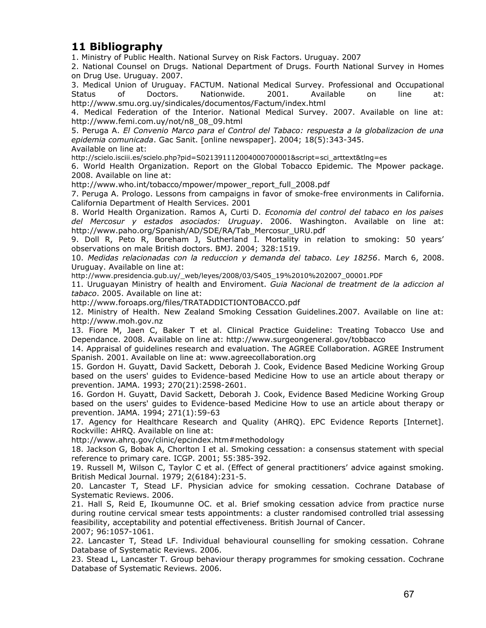# **11 Bibliography**

1. Ministry of Public Health. National Survey on Risk Factors. Uruguay. 2007

2. National Counsel on Drugs. National Department of Drugs. Fourth National Survey in Homes on Drug Use. Uruguay. 2007.

3. Medical Union of Uruguay. FACTUM. National Medical Survey. Professional and Occupational Status of Doctors. Nationwide. 2001. Available on line at: http://www.smu.org.uy/sindicales/documentos/Factum/index.html

4. Medical Federation of the Interior. National Medical Survey. 2007. Available on line at: http://www.femi.com.uy/not/n8\_08\_09.html

5. Peruga A. *El Convenio Marco para el Control del Tabaco: respuesta a la globalizacion de una epidemia comunicada*. Gac Sanit. [online newspaper]. 2004; 18(5):343-345. Available on line at:

http://scielo.isciii.es/scielo.php?pid=S021391112004000700001&script=sci\_arttext&tlng=es

6. World Health Organization. Report on the Global Tobacco Epidemic. The Mpower package. 2008. Available on line at:

http://www.who.int/tobacco/mpower/mpower\_report\_full\_2008.pdf

7. Peruga A. Prologo. Lessons from campaigns in favor of smoke-free environments in California. California Department of Health Services. 2001

8. World Health Organization. Ramos A, Curti D. *Economia del control del tabaco en los paises del Mercosur y estados asociados: Uruguay*. 2006. Washington. Available on line at: http://www.paho.org/Spanish/AD/SDE/RA/Tab\_Mercosur\_URU.pdf

9. Doll R, Peto R, Boreham J, Sutherland I. Mortality in relation to smoking: 50 years' observations on male British doctors. BMJ. 2004; 328:1519.

10. *Medidas relacionadas con la reduccion y demanda del tabaco. Ley 18256*. March 6, 2008. Uruguay. Available on line at:

http://www.presidencia.gub.uy/\_web/leyes/2008/03/S405\_19%2010%202007\_00001.PDF

11. Uruguayan Ministry of health and Enviroment. *Guia Nacional de treatment de la adiccion al tabaco*. 2005. Available on line at:

http://www.foroaps.org/files/TRATADDICTIONTOBACCO.pdf

12. Ministry of Health. New Zealand Smoking Cessation Guidelines.2007. Available on line at: http://www.moh.gov.nz

13. Fiore M, Jaen C, Baker T et al. Clinical Practice Guideline: Treating Tobacco Use and Dependance. 2008. Available on line at: http://www.surgeongeneral.gov/tobbacco

14. Appraisal of guidelines research and evaluation. The AGREE Collaboration. AGREE Instrument Spanish. 2001. Available on line at: www.agreecollaboration.org

15. Gordon H. Guyatt, David Sackett, Deborah J. Cook, Evidence Based Medicine Working Group based on the users' guides to Evidence-based Medicine How to use an article about therapy or prevention. JAMA. 1993; 270(21):2598-2601.

16. Gordon H. Guyatt, David Sackett, Deborah J. Cook, Evidence Based Medicine Working Group based on the users' guides to Evidence-based Medicine How to use an article about therapy or prevention. JAMA. 1994; 271(1):59-63

17. Agency for Healthcare Research and Quality (AHRQ). EPC Evidence Reports [Internet]. Rockville: AHRQ. Available on line at:

http://www.ahrq.gov/clinic/epcindex.htm#methodology

18. Jackson G, Bobak A, Chorlton I et al. Smoking cessation: a consensus statement with special reference to primary care. ICGP. 2001; 55:385-392.

19. Russell M, Wilson C, Taylor C et al. (Effect of general practitioners' advice against smoking. British Medical Journal. 1979; 2(6184):231-5.

20. Lancaster T, Stead LF. Physician advice for smoking cessation. Cochrane Database of Systematic Reviews. 2006.

21. Hall S, Reid E, Ikoumunne OC. et al. Brief smoking cessation advice from practice nurse during routine cervical smear tests appointments: a cluster randomised controlled trial assessing feasibility, acceptability and potential effectiveness. British Journal of Cancer. 2007; 96:1057-1061.

22. Lancaster T, Stead LF. Individual behavioural counselling for smoking cessation. Cohrane Database of Systematic Reviews. 2006.

23. Stead L, Lancaster T. Group behaviour therapy programmes for smoking cessation. Cochrane Database of Systematic Reviews. 2006.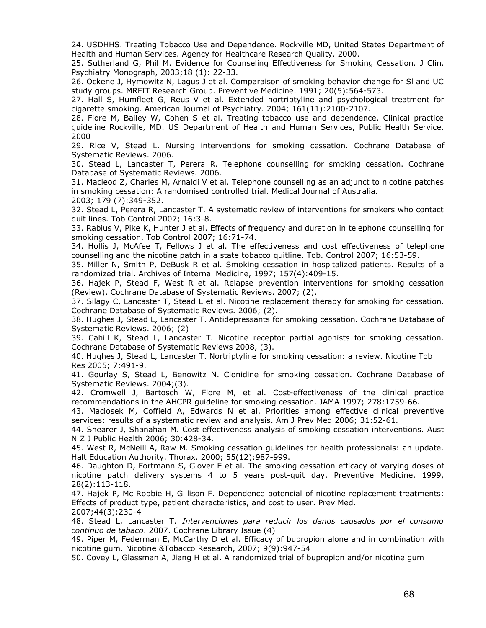24. USDHHS. Treating Tobacco Use and Dependence. Rockville MD, United States Department of Health and Human Services. Agency for Healthcare Research Quality. 2000.

25. Sutherland G, Phil M. Evidence for Counseling Effectiveness for Smoking Cessation. J Clin. Psychiatry Monograph, 2003;18 (1): 22-33.

26. Ockene J, Hymowitz N, Lagus J et al. Comparaison of smoking behavior change for Sl and UC study groups. MRFIT Research Group. Preventive Medicine. 1991; 20(5):564-573.

27. Hall S, Humfleet G, Reus V et al. Extended nortriptyline and psychological treatment for cigarette smoking. American Journal of Psychiatry. 2004; 161(11):2100-2107.

28. Fiore M, Bailey W, Cohen S et al. Treating tobacco use and dependence. Clinical practice guideline Rockville, MD. US Department of Health and Human Services, Public Health Service. 2000

29. Rice V, Stead L. Nursing interventions for smoking cessation. Cochrane Database of Systematic Reviews. 2006.

30. Stead L, Lancaster T, Perera R. Telephone counselling for smoking cessation. Cochrane Database of Systematic Reviews. 2006.

31. Macleod Z, Charles M, Arnaldi V et al. Telephone counselling as an adjunct to nicotine patches in smoking cessation: A randomised controlled trial. Medical Journal of Australia.

2003; 179 (7):349-352.

32. Stead L, Perera R, Lancaster T. A systematic review of interventions for smokers who contact quit lines. Tob Control 2007; 16:3-8.

33. Rabius V, Pike K, Hunter J et al. Effects of frequency and duration in telephone counselling for smoking cessation. Tob Control 2007; 16:71-74.

34. Hollis J, McAfee T, Fellows J et al. The effectiveness and cost effectiveness of telephone counselling and the nicotine patch in a state tobacco quitline. Tob. Control 2007; 16:53-59.

35. Miller N, Smith P, DeBusk R et al. Smoking cessation in hospitalized patients. Results of a randomized trial. Archives of Internal Medicine, 1997; 157(4):409-15.

36. Hajek P, Stead F, West R et al. Relapse prevention interventions for smoking cessation (Review). Cochrane Database of Systematic Reviews. 2007; (2).

37. Silagy C, Lancaster T, Stead L et al. Nicotine replacement therapy for smoking for cessation. Cochrane Database of Systematic Reviews. 2006; (2).

38. Hughes J, Stead L, Lancaster T. Antidepressants for smoking cessation. Cochrane Database of Systematic Reviews. 2006; (2)

39. Cahill K, Stead L, Lancaster T. Nicotine receptor partial agonists for smoking cessation. Cochrane Database of Systematic Reviews 2008, (3).

40. Hughes J, Stead L, Lancaster T. Nortriptyline for smoking cessation: a review. Nicotine Tob Res 2005; 7:491-9.

41. Gourlay S, Stead L, Benowitz N. Clonidine for smoking cessation. Cochrane Database of Systematic Reviews. 2004;(3).

42. Cromwell J, Bartosch W, Fiore M, et al. Cost-effectiveness of the clinical practice recommendations in the AHCPR guideline for smoking cessation. JAMA 1997; 278:1759-66.

43. Maciosek M, Coffield A, Edwards N et al. Priorities among effective clinical preventive services: results of a systematic review and analysis. Am J Prev Med 2006; 31:52-61.

44. Shearer J, Shanahan M. Cost effectiveness analysis of smoking cessation interventions. Aust N Z J Public Health 2006; 30:428-34.

45. West R, McNeill A, Raw M. Smoking cessation guidelines for health professionals: an update. Halt Education Authority. Thorax. 2000; 55(12):987-999.

46. Daughton D, Fortmann S, Glover E et al. The smoking cessation efficacy of varying doses of nicotine patch delivery systems 4 to 5 years post-quit day. Preventive Medicine. 1999, 28(2):113-118.

47. Hajek P, Mc Robbie H, Gillison F. Dependence potencial of nicotine replacement treatments: Effects of product type, patient characteristics, and cost to user. Prev Med. 2007;44(3):230-4

48. Stead L, Lancaster T. *Intervenciones para reducir los danos causados por el consumo continuo de tabaco*. 2007. Cochrane Library Issue (4)

49. Piper M, Federman E, McCarthy D et al. Efficacy of bupropion alone and in combination with nicotine gum. Nicotine &Tobacco Research, 2007; 9(9):947-54

50. Covey L, Glassman A, Jiang H et al. A randomized trial of bupropion and/or nicotine gum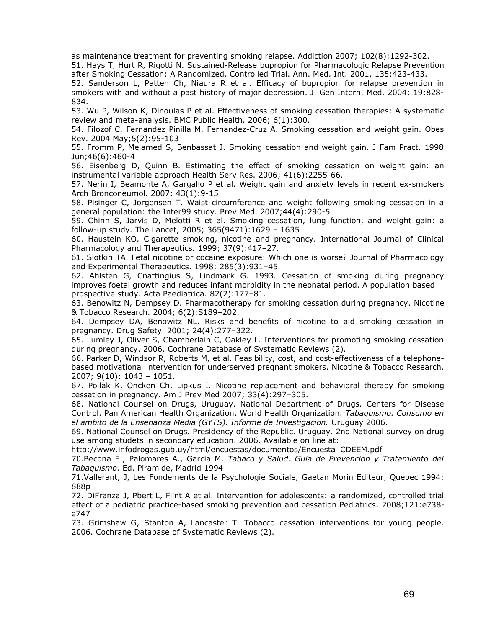as maintenance treatment for preventing smoking relapse. Addiction 2007; 102(8):1292-302.

51. Hays T, Hurt R, Rigotti N. Sustained-Release bupropion for Pharmacologic Relapse Prevention after Smoking Cessation: A Randomized, Controlled Trial. Ann. Med. Int. 2001, 135:423-433.

52. Sanderson L, Patten Ch, Niaura R et al. Efficacy of bupropion for relapse prevention in smokers with and without a past history of major depression. J. Gen Intern. Med. 2004; 19:828- 834.

53. Wu P, Wilson K, Dinoulas P et al. Effectiveness of smoking cessation therapies: A systematic review and meta-analysis. BMC Public Health. 2006; 6(1):300.

54. Filozof C, Fernandez Pinilla M, Fernandez-Cruz A. Smoking cessation and weight gain. Obes Rev. 2004 May;5(2):95-103

55. Fromm P, Melamed S, Benbassat J. Smoking cessation and weight gain. J Fam Pract. 1998 Jun;46(6):460-4

56. Eisenberg D, Quinn B. Estimating the effect of smoking cessation on weight gain: an instrumental variable approach Health Serv Res. 2006; 41(6):2255-66.

57. Nerin I, Beamonte A, Gargallo P et al. Weight gain and anxiety levels in recent ex-smokers Arch Bronconeumol. 2007; 43(1):9-15

58. Pisinger C, Jorgensen T. Waist circumference and weight following smoking cessation in a general population: the Inter99 study. Prev Med. 2007;44(4):290-5

59. Chinn S, Jarvis D, Melotti R et al. Smoking cessation, lung function, and weight gain: a follow-up study. The Lancet, 2005; 365(9471):1629 – 1635

60. Haustein KO. Cigarette smoking, nicotine and pregnancy. International Journal of Clinical Pharmacology and Therapeutics. 1999; 37(9):417–27.

61. Slotkin TA. Fetal nicotine or cocaine exposure: Which one is worse? Journal of Pharmacology and Experimental Therapeutics. 1998; 285(3):931–45.

62. Ahlsten G, Cnattingius S, Lindmark G. 1993. Cessation of smoking during pregnancy improves foetal growth and reduces infant morbidity in the neonatal period. A population based prospective study. Acta Paediatrica*.* 82(2):177–81.

63. Benowitz N, Dempsey D. Pharmacotherapy for smoking cessation during pregnancy. Nicotine & Tobacco Research. 2004; 6(2):S189–202.

64. Dempsey DA, Benowitz NL. Risks and benefits of nicotine to aid smoking cessation in pregnancy. Drug Safety. 2001; 24(4):277–322.

65. Lumley J, Oliver S, Chamberlain C, Oakley L. Interventions for promoting smoking cessation during pregnancy. 2006. Cochrane Database of Systematic Reviews (2).

66. Parker D, Windsor R, Roberts M, et al. Feasibility, cost, and cost-effectiveness of a telephonebased motivational intervention for underserved pregnant smokers. Nicotine & Tobacco Research. 2007; 9(10): 1043 – 1051.

67. Pollak K, Oncken Ch, Lipkus I. Nicotine replacement and behavioral therapy for smoking cessation in pregnancy. Am J Prev Med 2007; 33(4):297–305.

68. National Counsel on Drugs, Uruguay. National Department of Drugs. Centers for Disease Control. Pan American Health Organization. World Health Organization. *Tabaquismo. Consumo en el ambito de la Ensenanza Media (GYTS). Informe de Investigacion.* Uruguay 2006.

69. National Counsel on Drugs. Presidency of the Republic. Uruguay. 2nd National survey on drug use among studets in secondary education. 2006. Available on line at:

http://www.infodrogas.gub.uy/html/encuestas/documentos/Encuesta\_CDEEM.pdf

70.Becona E., Palomares A., Garcia M. *Tabaco y Salud. Guia de Prevencion y Tratamiento del Tabaquismo*. Ed. Piramide, Madrid 1994

71.Vallerant, J, Les Fondements de la Psychologie Sociale, Gaetan Morin Editeur, Quebec 1994: 888p

72. DiFranza J, Pbert L, Flint A et al. Intervention for adolescents: a randomized, controlled trial effect of a pediatric practice-based smoking prevention and cessation Pediatrics*.* 2008;121:e738 e747

73. Grimshaw G, Stanton A, Lancaster T. Tobacco cessation interventions for young people. 2006. Cochrane Database of Systematic Reviews (2).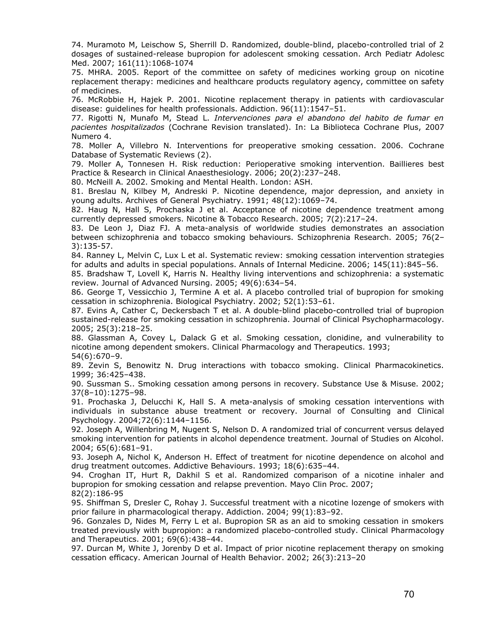74. Muramoto M, Leischow S, Sherrill D. Randomized, double-blind, placebo-controlled trial of 2 dosages of sustained-release bupropion for adolescent smoking cessation. Arch Pediatr Adolesc Med. 2007; 161(11):1068-1074

75. MHRA. 2005. Report of the committee on safety of medicines working group on nicotine replacement therapy: medicines and healthcare products regulatory agency, committee on safety of medicines.

76. McRobbie H, Hajek P. 2001. Nicotine replacement therapy in patients with cardiovascular disease: guidelines for health professionals. Addiction. 96(11):1547–51.

77. Rigotti N, Munafo M, Stead L. *Intervenciones para el abandono del habito de fumar en pacientes hospitalizados* (Cochrane Revision translated). In: La Biblioteca Cochrane Plus, 2007 Numero 4.

78. Moller A, Villebro N. Interventions for preoperative smoking cessation. 2006. Cochrane Database of Systematic Reviews (2).

79. Moller A, Tonnesen H. Risk reduction: Perioperative smoking intervention. Baillieres best Practice & Research in Clinical Anaesthesiology. 2006; 20(2):237–248.

80. McNeill A. 2002. Smoking and Mental Health. London: ASH.

81. Breslau N, Kilbey M, Andreski P. Nicotine dependence, major depression, and anxiety in young adults. Archives of General Psychiatry. 1991; 48(12):1069–74.

82. Haug N, Hall S, Prochaska J et al. Acceptance of nicotine dependence treatment among currently depressed smokers. Nicotine & Tobacco Research. 2005; 7(2):217–24.

83. De Leon J, Diaz FJ. A meta-analysis of worldwide studies demonstrates an association between schizophrenia and tobacco smoking behaviours. Schizophrenia Research. 2005; 76(2– 3):135-57.

84. Ranney L, Melvin C, Lux L et al. Systematic review: smoking cessation intervention strategies for adults and adults in special populations. Annals of Internal Medicine. 2006; 145(11):845–56.

85. Bradshaw T, Lovell K, Harris N. Healthy living interventions and schizophrenia: a systematic review. Journal of Advanced Nursing. 2005; 49(6):634–54.

86. George T, Vessicchio J, Termine A et al. A placebo controlled trial of bupropion for smoking cessation in schizophrenia. Biological Psychiatry. 2002; 52(1):53–61.

87. Evins A, Cather C, Deckersbach T et al. A double-blind placebo-controlled trial of bupropion sustained-release for smoking cessation in schizophrenia. Journal of Clinical Psychopharmacology. 2005; 25(3):218–25.

88. Glassman A, Covey L, Dalack G et al. Smoking cessation, clonidine, and vulnerability to nicotine among dependent smokers. Clinical Pharmacology and Therapeutics. 1993; 54(6):670–9.

89. Zevin S, Benowitz N. Drug interactions with tobacco smoking. Clinical Pharmacokinetics. 1999; 36:425–438.

90. Sussman S.. Smoking cessation among persons in recovery. Substance Use & Misuse. 2002; 37(8–10):1275–98.

91. Prochaska J, Delucchi K, Hall S. A meta-analysis of smoking cessation interventions with individuals in substance abuse treatment or recovery. Journal of Consulting and Clinical Psychology. 2004;72(6):1144–1156.

92. Joseph A, Willenbring M, Nugent S, Nelson D. A randomized trial of concurrent versus delayed smoking intervention for patients in alcohol dependence treatment. Journal of Studies on Alcohol. 2004; 65(6):681–91.

93. Joseph A, Nichol K, Anderson H. Effect of treatment for nicotine dependence on alcohol and drug treatment outcomes. Addictive Behaviours. 1993; 18(6):635–44.

94. Croghan IT, Hurt R, Dakhil S et al. Randomized comparison of a nicotine inhaler and bupropion for smoking cessation and relapse prevention. Mayo Clin Proc. 2007; 82(2):186-95

95. Shiffman S, Dresler C, Rohay J. Successful treatment with a nicotine lozenge of smokers with prior failure in pharmacological therapy. Addiction. 2004; 99(1):83–92.

96. Gonzales D, Nides M, Ferry L et al. Bupropion SR as an aid to smoking cessation in smokers treated previously with bupropion: a randomized placebo-controlled study. Clinical Pharmacology and Therapeutics. 2001; 69(6):438–44.

97. Durcan M, White J, Jorenby D et al. Impact of prior nicotine replacement therapy on smoking cessation efficacy. American Journal of Health Behavior. 2002; 26(3):213–20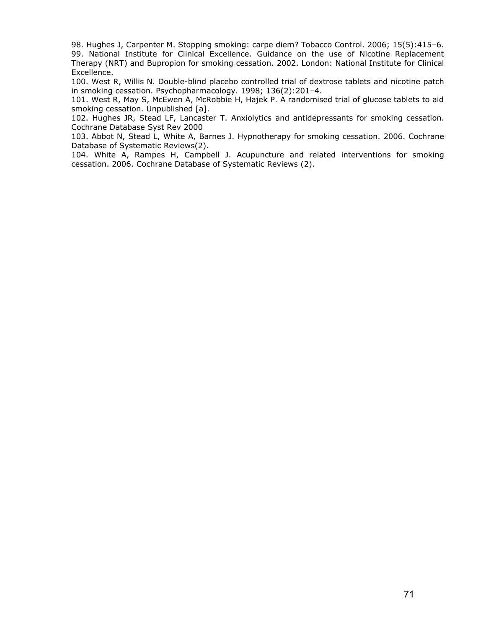98. Hughes J, Carpenter M. Stopping smoking: carpe diem? Tobacco Control. 2006; 15(5):415–6. 99. National Institute for Clinical Excellence. Guidance on the use of Nicotine Replacement Therapy (NRT) and Bupropion for smoking cessation. 2002. London: National Institute for Clinical Excellence.

100. West R, Willis N. Double-blind placebo controlled trial of dextrose tablets and nicotine patch in smoking cessation. Psychopharmacology. 1998; 136(2):201–4.

101. West R, May S, McEwen A, McRobbie H, Hajek P. A randomised trial of glucose tablets to aid smoking cessation. Unpublished [a].

102. Hughes JR, Stead LF, Lancaster T. Anxiolytics and antidepressants for smoking cessation. Cochrane Database Syst Rev 2000

103. Abbot N, Stead L, White A, Barnes J. Hypnotherapy for smoking cessation. 2006. Cochrane Database of Systematic Reviews(2).

104. White A, Rampes H, Campbell J. Acupuncture and related interventions for smoking cessation. 2006. Cochrane Database of Systematic Reviews (2).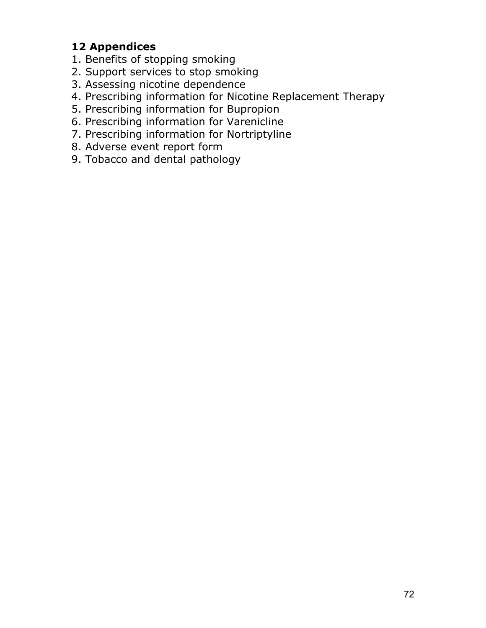# **12 Appendices**

- 1. Benefits of stopping smoking
- 2. Support services to stop smoking
- 3. Assessing nicotine dependence
- 4. Prescribing information for Nicotine Replacement Therapy
- 5. Prescribing information for Bupropion
- 6. Prescribing information for Varenicline
- 7. Prescribing information for Nortriptyline
- 8. Adverse event report form
- 9. Tobacco and dental pathology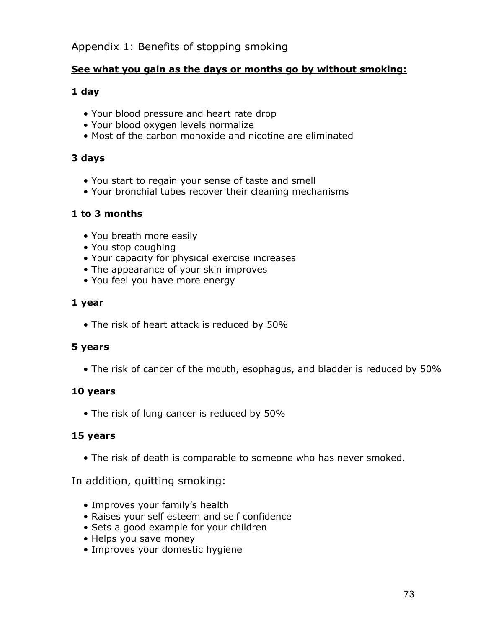### Appendix 1: Benefits of stopping smoking

#### **See what you gain as the days or months go by without smoking:**

#### **1 day**

- Your blood pressure and heart rate drop
- Your blood oxygen levels normalize
- Most of the carbon monoxide and nicotine are eliminated

#### **3 days**

- You start to regain your sense of taste and smell
- Your bronchial tubes recover their cleaning mechanisms

#### **1 to 3 months**

- You breath more easily
- You stop coughing
- Your capacity for physical exercise increases
- The appearance of your skin improves
- You feel you have more energy

#### **1 year**

• The risk of heart attack is reduced by 50%

#### **5 years**

• The risk of cancer of the mouth, esophagus, and bladder is reduced by 50%

#### **10 years**

• The risk of lung cancer is reduced by 50%

#### **15 years**

• The risk of death is comparable to someone who has never smoked.

In addition, quitting smoking:

- Improves your family's health
- Raises your self esteem and self confidence
- Sets a good example for your children
- Helps you save money
- Improves your domestic hygiene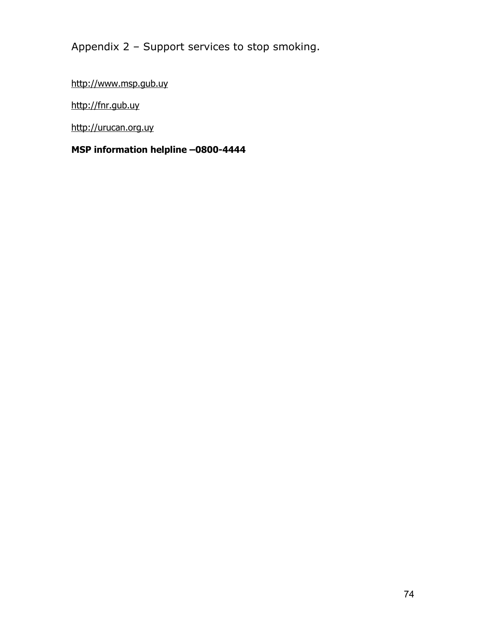Appendix 2 – Support services to stop smoking.

[http://www.msp.gub.uy](http://www.msp.gub.uy/)

[http://fnr.gub.uy](http://fnr.gub.uy/)

[http://urucan.org.uy](http://urucan.org.uy/)

### **MSP information helpline –0800-4444**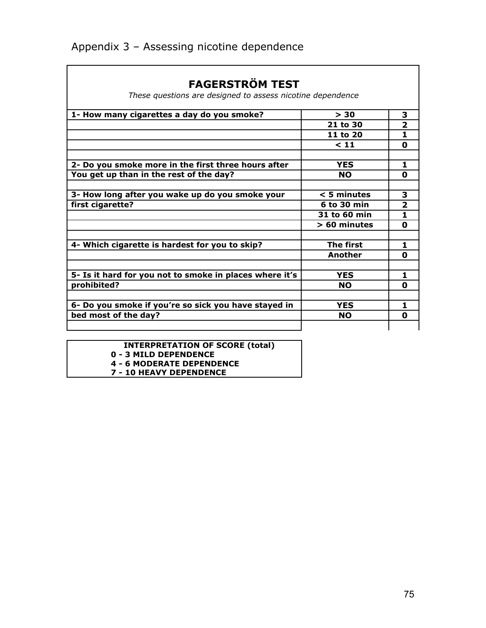| FAGERSIKOM IESI                                            |                |                |
|------------------------------------------------------------|----------------|----------------|
| These questions are designed to assess nicotine dependence |                |                |
| 1- How many cigarettes a day do you smoke?                 | > 30           | 3              |
|                                                            | 21 to 30       | $\mathbf{z}$   |
|                                                            | 11 to 20       | 1              |
|                                                            | < 11           | 0              |
| 2- Do you smoke more in the first three hours after        | <b>YES</b>     | 1              |
| You get up than in the rest of the day?                    | <b>NO</b>      | 0              |
| 3- How long after you wake up do you smoke your            | $<$ 5 minutes  | 3              |
| first cigarette?                                           | 6 to 30 min    | $\overline{2}$ |
|                                                            | 31 to 60 min   | 1              |
|                                                            | > 60 minutes   | 0              |
| 4- Which cigarette is hardest for you to skip?             | The first      | 1              |
|                                                            | <b>Another</b> | 0              |
| 5- Is it hard for you not to smoke in places where it's    | <b>YES</b>     | 1              |
| prohibited?                                                | <b>NO</b>      | 0              |
|                                                            |                |                |
| 6- Do you smoke if you're so sick you have stayed in       | <b>YES</b>     | 1              |
| bed most of the day?                                       | <b>NO</b>      | 0              |
|                                                            |                |                |

## **FAGERSTRÖM TEST**

| <b>INTERPRETATION OF SCORE (total)</b> |  |  |
|----------------------------------------|--|--|
| 0 - 3 MILD DEPENDENCE                  |  |  |
| <b>4 - 6 MODERATE DEPENDENCE</b>       |  |  |
| <b>7 - 10 HEAVY DEPENDENCE</b>         |  |  |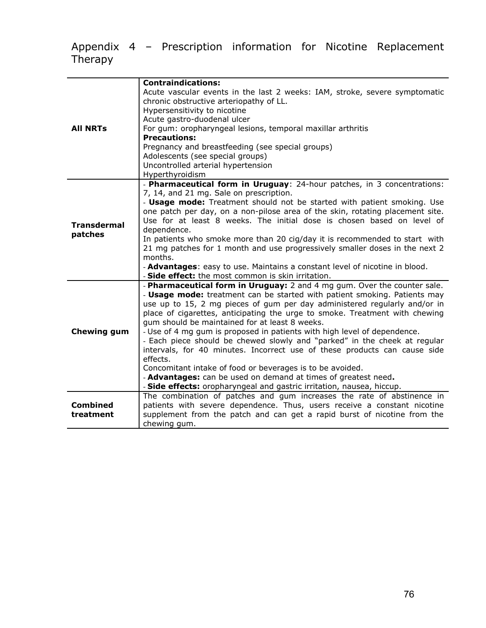### Appendix 4 – Prescription information for Nicotine Replacement Therapy

| <b>All NRTs</b>               | <b>Contraindications:</b><br>Acute vascular events in the last 2 weeks: IAM, stroke, severe symptomatic<br>chronic obstructive arteriopathy of LL.<br>Hypersensitivity to nicotine<br>Acute gastro-duodenal ulcer<br>For gum: oropharyngeal lesions, temporal maxillar arthritis<br><b>Precautions:</b><br>Pregnancy and breastfeeding (see special groups)<br>Adolescents (see special groups)<br>Uncontrolled arterial hypertension<br>Hyperthyroidism                                                                                                                                                                                                                                                                                                                                                                      |
|-------------------------------|-------------------------------------------------------------------------------------------------------------------------------------------------------------------------------------------------------------------------------------------------------------------------------------------------------------------------------------------------------------------------------------------------------------------------------------------------------------------------------------------------------------------------------------------------------------------------------------------------------------------------------------------------------------------------------------------------------------------------------------------------------------------------------------------------------------------------------|
| <b>Transdermal</b><br>patches | - Pharmaceutical form in Uruguay: 24-hour patches, in 3 concentrations:<br>7, 14, and 21 mg. Sale on prescription.<br>- <b>Usage mode:</b> Treatment should not be started with patient smoking. Use<br>one patch per day, on a non-pilose area of the skin, rotating placement site.<br>Use for at least 8 weeks. The initial dose is chosen based on level of<br>dependence.<br>In patients who smoke more than 20 cig/day it is recommended to start with<br>21 mg patches for 1 month and use progressively smaller doses in the next 2<br>months.<br>- Advantages: easy to use. Maintains a constant level of nicotine in blood.<br>- Side effect: the most common is skin irritation.                                                                                                                                   |
| <b>Chewing gum</b>            | - Pharmaceutical form in Uruguay: 2 and 4 mg gum. Over the counter sale.<br>- Usage mode: treatment can be started with patient smoking. Patients may<br>use up to 15, 2 mg pieces of gum per day administered regularly and/or in<br>place of cigarettes, anticipating the urge to smoke. Treatment with chewing<br>gum should be maintained for at least 8 weeks.<br>- Use of 4 mg gum is proposed in patients with high level of dependence.<br>- Each piece should be chewed slowly and "parked" in the cheek at regular<br>intervals, for 40 minutes. Incorrect use of these products can cause side<br>effects.<br>Concomitant intake of food or beverages is to be avoided.<br>- Advantages: can be used on demand at times of greatest need.<br>- Side effects: oropharyngeal and gastric irritation, nausea, hiccup. |
| <b>Combined</b><br>treatment  | The combination of patches and gum increases the rate of abstinence in<br>patients with severe dependence. Thus, users receive a constant nicotine<br>supplement from the patch and can get a rapid burst of nicotine from the<br>chewing gum.                                                                                                                                                                                                                                                                                                                                                                                                                                                                                                                                                                                |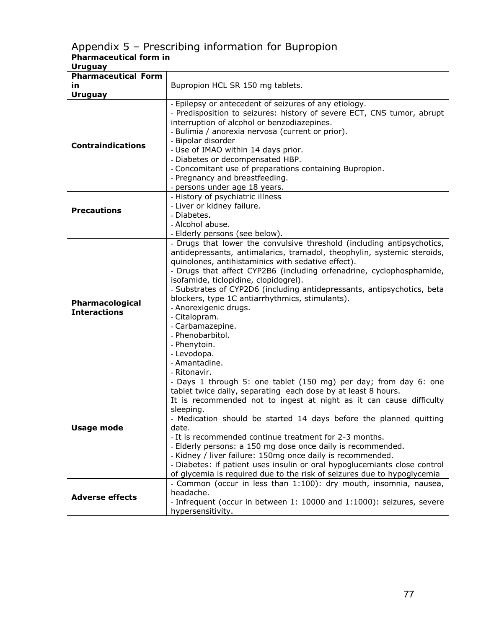#### Appendix 5 – Prescribing information for Bupropion **Pharmaceutical form in**

| <b>Uruguay</b>                         |                                                                                                                                                                                                                                                                                                                                                                                                                                                                                                                                                                                                                                                   |
|----------------------------------------|---------------------------------------------------------------------------------------------------------------------------------------------------------------------------------------------------------------------------------------------------------------------------------------------------------------------------------------------------------------------------------------------------------------------------------------------------------------------------------------------------------------------------------------------------------------------------------------------------------------------------------------------------|
| <b>Pharmaceutical Form</b>             |                                                                                                                                                                                                                                                                                                                                                                                                                                                                                                                                                                                                                                                   |
| in                                     | Bupropion HCL SR 150 mg tablets.                                                                                                                                                                                                                                                                                                                                                                                                                                                                                                                                                                                                                  |
| <b>Uruguay</b>                         |                                                                                                                                                                                                                                                                                                                                                                                                                                                                                                                                                                                                                                                   |
| <b>Contraindications</b>               | - Epilepsy or antecedent of seizures of any etiology.<br>- Predisposition to seizures: history of severe ECT, CNS tumor, abrupt<br>interruption of alcohol or benzodiazepines.<br>- Bulimia / anorexia nervosa (current or prior).<br>- Bipolar disorder<br>- Use of IMAO within 14 days prior.<br>- Diabetes or decompensated HBP.<br>- Concomitant use of preparations containing Bupropion.<br>- Pregnancy and breastfeeding.<br>- persons under age 18 years.                                                                                                                                                                                 |
| <b>Precautions</b>                     | - History of psychiatric illness<br>- Liver or kidney failure.<br>- Diabetes.<br>- Alcohol abuse.<br>- Elderly persons (see below).                                                                                                                                                                                                                                                                                                                                                                                                                                                                                                               |
| Pharmacological<br><b>Interactions</b> | - Drugs that lower the convulsive threshold (including antipsychotics,<br>antidepressants, antimalarics, tramadol, theophylin, systemic steroids,<br>quinolones, antihistaminics with sedative effect).<br>- Drugs that affect CYP2B6 (including orfenadrine, cyclophosphamide,<br>isofamide, ticlopidine, clopidogrel).<br>- Substrates of CYP2D6 (including antidepressants, antipsychotics, beta<br>blockers, type 1C antiarrhythmics, stimulants).<br>- Anorexigenic drugs.<br>- Citalopram.<br>- Carbamazepine.<br>- Phenobarbitol.<br>- Phenytoin.<br>- Levodopa.<br>- Amantadine.<br>- Ritonavir.                                          |
| <b>Usage mode</b>                      | - Days 1 through 5: one tablet (150 mg) per day; from day 6: one<br>tablet twice daily, separating each dose by at least 8 hours.<br>It is recommended not to ingest at night as it can cause difficulty<br>sleeping.<br>Medication should be started 14 days before the planned quitting<br>date.<br>- It is recommended continue treatment for 2-3 months.<br>- Elderly persons: a 150 mg dose once daily is recommended.<br>- Kidney / liver failure: 150mg once daily is recommended.<br>- Diabetes: if patient uses insulin or oral hypoglucemiants close control<br>of glycemia is required due to the risk of seizures due to hypoglycemia |
| <b>Adverse effects</b>                 | - Common (occur in less than 1:100): dry mouth, insomnia, nausea,<br>headache.<br>- Infrequent (occur in between 1: 10000 and 1:1000): seizures, severe<br>hypersensitivity.                                                                                                                                                                                                                                                                                                                                                                                                                                                                      |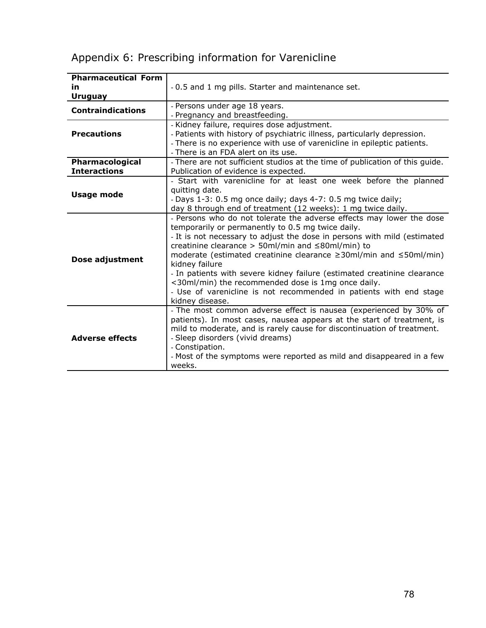## Appendix 6: Prescribing information for Varenicline

| <b>Pharmaceutical Form</b> |                                                                                     |
|----------------------------|-------------------------------------------------------------------------------------|
| īn                         | -0.5 and 1 mg pills. Starter and maintenance set.                                   |
| <b>Uruguay</b>             |                                                                                     |
| <b>Contraindications</b>   | - Persons under age 18 years.                                                       |
|                            | - Pregnancy and breastfeeding.                                                      |
|                            | - Kidney failure, requires dose adjustment.                                         |
| <b>Precautions</b>         | - Patients with history of psychiatric illness, particularly depression.            |
|                            | - There is no experience with use of varenicline in epileptic patients.             |
|                            | - There is an FDA alert on its use.                                                 |
| Pharmacological            | - There are not sufficient studios at the time of publication of this guide.        |
| <b>Interactions</b>        | Publication of evidence is expected.                                                |
|                            | - Start with varenicline for at least one week before the planned                   |
| <b>Usage mode</b>          | quitting date.                                                                      |
|                            | - Days 1-3: 0.5 mg once daily; days 4-7: 0.5 mg twice daily;                        |
|                            | day 8 through end of treatment (12 weeks): 1 mg twice daily.                        |
|                            | - Persons who do not tolerate the adverse effects may lower the dose                |
|                            | temporarily or permanently to 0.5 mg twice daily.                                   |
|                            | - It is not necessary to adjust the dose in persons with mild (estimated            |
|                            | creatinine clearance > 50ml/min and $\leq$ 80ml/min) to                             |
| Dose adjustment            | moderate (estimated creatinine clearance ≥30ml/min and ≤50ml/min)<br>kidney failure |
|                            | - In patients with severe kidney failure (estimated creatinine clearance            |
|                            | <30ml/min) the recommended dose is 1mg once daily.                                  |
|                            | - Use of varenicline is not recommended in patients with end stage                  |
|                            | kidney disease.                                                                     |
|                            | - The most common adverse effect is nausea (experienced by 30% of                   |
| <b>Adverse effects</b>     | patients). In most cases, nausea appears at the start of treatment, is              |
|                            | mild to moderate, and is rarely cause for discontinuation of treatment.             |
|                            | - Sleep disorders (vivid dreams)                                                    |
|                            | - Constipation.                                                                     |
|                            | - Most of the symptoms were reported as mild and disappeared in a few               |
|                            | weeks.                                                                              |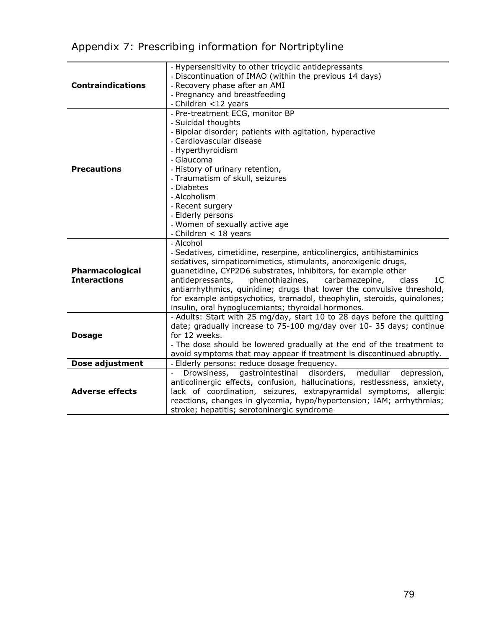# Appendix 7: Prescribing information for Nortriptyline

|                          | - Hypersensitivity to other tricyclic antidepressants                                                                         |
|--------------------------|-------------------------------------------------------------------------------------------------------------------------------|
| <b>Contraindications</b> | - Discontinuation of IMAO (within the previous 14 days)                                                                       |
|                          | - Recovery phase after an AMI                                                                                                 |
|                          |                                                                                                                               |
|                          | - Pregnancy and breastfeeding                                                                                                 |
|                          | - Children <12 years                                                                                                          |
|                          | - Pre-treatment ECG, monitor BP                                                                                               |
|                          | - Suicidal thoughts                                                                                                           |
|                          | - Bipolar disorder; patients with agitation, hyperactive                                                                      |
|                          | - Cardiovascular disease                                                                                                      |
|                          | - Hyperthyroidism                                                                                                             |
|                          | - Glaucoma                                                                                                                    |
| <b>Precautions</b>       | - History of urinary retention,                                                                                               |
|                          | - Traumatism of skull, seizures                                                                                               |
|                          | - Diabetes                                                                                                                    |
|                          | - Alcoholism                                                                                                                  |
|                          | - Recent surgery                                                                                                              |
|                          | - Elderly persons                                                                                                             |
|                          | - Women of sexually active age                                                                                                |
|                          | - Children < 18 years                                                                                                         |
|                          | - Alcohol                                                                                                                     |
|                          | - Sedatives, cimetidine, reserpine, anticolinergics, antihistaminics                                                          |
| Pharmacological          | sedatives, simpaticomimetics, stimulants, anorexigenic drugs,                                                                 |
|                          | guanetidine, CYP2D6 substrates, inhibitors, for example other                                                                 |
| <b>Interactions</b>      | antidepressants,<br>phenothiazines,<br>carbamazepine,<br>1 <sup>C</sup><br>class                                              |
|                          | antiarrhythmics, quinidine; drugs that lower the convulsive threshold,                                                        |
|                          | for example antipsychotics, tramadol, theophylin, steroids, quinolones;                                                       |
|                          |                                                                                                                               |
|                          | insulin, oral hypoglucemiants; thyroidal hormones.<br>- Adults: Start with 25 mg/day, start 10 to 28 days before the quitting |
|                          | date; gradually increase to 75-100 mg/day over 10-35 days; continue                                                           |
| <b>Dosage</b>            |                                                                                                                               |
|                          | for 12 weeks.                                                                                                                 |
|                          | - The dose should be lowered gradually at the end of the treatment to                                                         |
|                          | avoid symptoms that may appear if treatment is discontinued abruptly.                                                         |
| Dose adjustment          | - Elderly persons: reduce dosage frequency.                                                                                   |
|                          | gastrointestinal disorders,<br>Drowsiness,<br>medullar<br>depression,                                                         |
| <b>Adverse effects</b>   | anticolinergic effects, confusion, hallucinations, restlessness, anxiety,                                                     |
|                          | lack of coordination, seizures, extrapyramidal symptoms, allergic                                                             |
|                          | reactions, changes in glycemia, hypo/hypertension; IAM; arrhythmias;                                                          |
|                          | stroke; hepatitis; serotoninergic syndrome                                                                                    |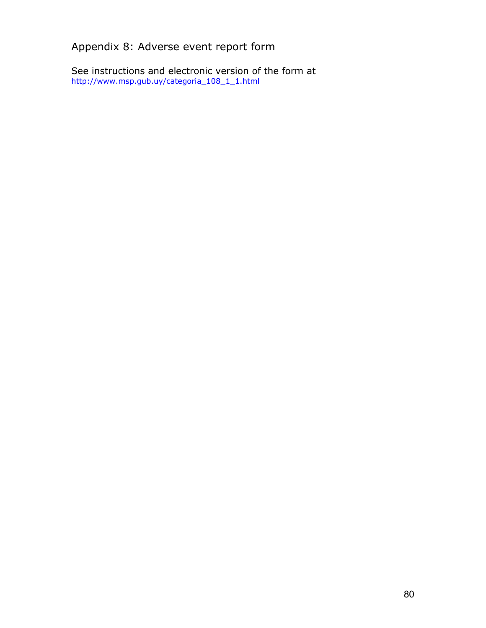Appendix 8: Adverse event report form

See instructions and electronic version of the form at http://www.msp.gub.uy/categoria\_108\_1\_1.html